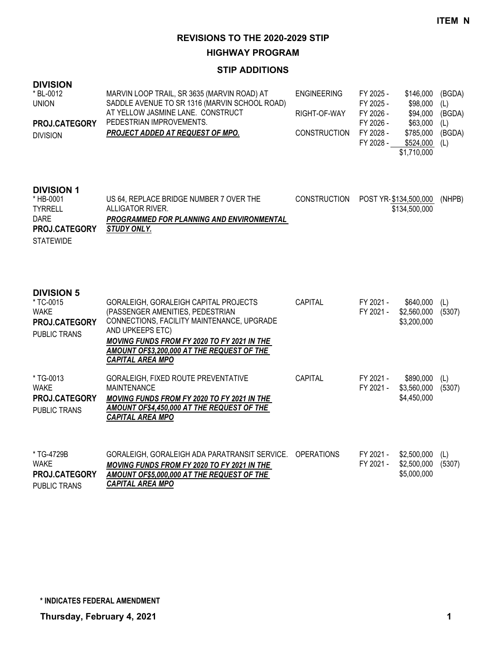**HIGHWAY PROGRAM**

| <b>DIVISION</b><br>* BL-0012<br><b>UNION</b><br>PROJ.CATEGORY<br><b>DIVISION</b>                     | MARVIN LOOP TRAIL, SR 3635 (MARVIN ROAD) AT<br>SADDLE AVENUE TO SR 1316 (MARVIN SCHOOL ROAD)<br>AT YELLOW JASMINE LANE. CONSTRUCT<br>PEDESTRIAN IMPROVEMENTS.<br><b>PROJECT ADDED AT REQUEST OF MPO.</b>                                                            | <b>ENGINEERING</b><br>RIGHT-OF-WAY<br><b>CONSTRUCTION</b> | FY 2025 -<br>FY 2025 -<br>FY 2026 -<br>FY 2026 -<br>FY 2028 -<br>FY 2028 - | \$146,000<br>\$98,000<br>\$94,000<br>\$63,000<br>\$785,000<br>\$524,000<br>\$1,710,000 | (BGDA)<br>(L)<br>(BGDA)<br>(L)<br>(BGDA)<br>(L) |
|------------------------------------------------------------------------------------------------------|---------------------------------------------------------------------------------------------------------------------------------------------------------------------------------------------------------------------------------------------------------------------|-----------------------------------------------------------|----------------------------------------------------------------------------|----------------------------------------------------------------------------------------|-------------------------------------------------|
| <b>DIVISION 1</b><br>* HB-0001<br><b>TYRRELL</b><br><b>DARE</b><br>PROJ.CATEGORY<br><b>STATEWIDE</b> | US 64, REPLACE BRIDGE NUMBER 7 OVER THE<br>ALLIGATOR RIVER.<br>PROGRAMMED FOR PLANNING AND ENVIRONMENTAL<br>STUDY ONLY.                                                                                                                                             | <b>CONSTRUCTION</b>                                       |                                                                            | POST YR-\$134,500,000<br>\$134,500,000                                                 | (NHPB)                                          |
| <b>DIVISION 5</b><br>* TC-0015<br><b>WAKE</b><br>PROJ.CATEGORY<br><b>PUBLIC TRANS</b>                | GORALEIGH, GORALEIGH CAPITAL PROJECTS<br>(PASSENGER AMENITIES, PEDESTRIAN<br>CONNECTIONS, FACILITY MAINTENANCE, UPGRADE<br>AND UPKEEPS ETC)<br>MOVING FUNDS FROM FY 2020 TO FY 2021 IN THE<br>AMOUNT OF\$3,200,000 AT THE REQUEST OF THE<br><b>CAPITAL AREA MPO</b> | <b>CAPITAL</b>                                            | FY 2021 -<br>FY 2021 -                                                     | \$640,000<br>\$2,560,000<br>\$3,200,000                                                | (L)<br>(5307)                                   |
| * TG-0013<br><b>WAKE</b><br>PROJ.CATEGORY<br>PUBLIC TRANS                                            | GORALEIGH, FIXED ROUTE PREVENTATIVE<br><b>MAINTENANCE</b><br>MOVING FUNDS FROM FY 2020 TO FY 2021 IN THE<br>AMOUNT OF\$4,450,000 AT THE REQUEST OF THE<br><b>CAPITAL AREA MPO</b>                                                                                   | <b>CAPITAL</b>                                            | FY 2021 -<br>FY 2021 -                                                     | \$890,000<br>\$3,560,000<br>\$4,450,000                                                | (L)<br>(5307)                                   |
| * TG-4729B<br><b>WAKE</b><br>PROJ.CATEGORY<br><b>PUBLIC TRANS</b>                                    | GORALEIGH, GORALEIGH ADA PARATRANSIT SERVICE.<br>MOVING FUNDS FROM FY 2020 TO FY 2021 IN THE<br>AMOUNT OF\$5,000,000 AT THE REQUEST OF THE<br><b>CAPITAL AREA MPO</b>                                                                                               | <b>OPERATIONS</b>                                         | FY 2021 -<br>FY 2021 -                                                     | \$2,500,000<br>\$2,500,000<br>\$5,000,000                                              | (L)<br>(5307)                                   |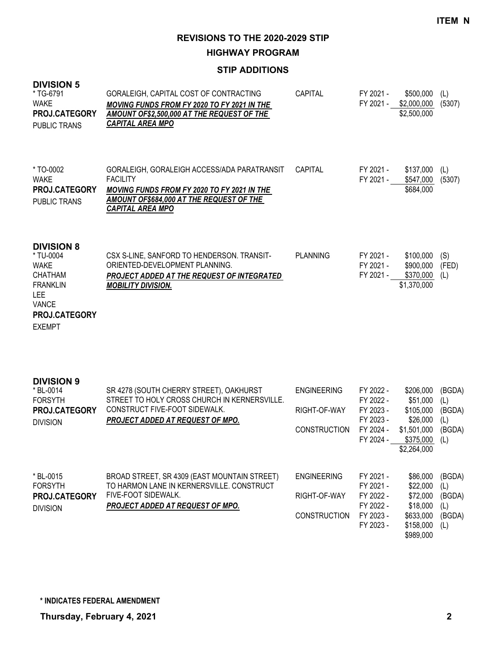**HIGHWAY PROGRAM**

| <b>DIVISION 5</b><br>* TG-6791<br><b>WAKE</b><br><b>PROJ.CATEGORY</b><br><b>PUBLIC TRANS</b>                                                       | GORALEIGH, CAPITAL COST OF CONTRACTING<br>MOVING FUNDS FROM FY 2020 TO FY 2021 IN THE<br>AMOUNT OF\$2,500,000 AT THE REQUEST OF THE<br><b>CAPITAL AREA MPO</b>                              | CAPITAL                                                   | FY 2021 -<br>FY 2021 -                                                     | \$500,000<br>\$2,000,000<br>\$2,500,000                                                   | (L)<br>(5307)                                   |
|----------------------------------------------------------------------------------------------------------------------------------------------------|---------------------------------------------------------------------------------------------------------------------------------------------------------------------------------------------|-----------------------------------------------------------|----------------------------------------------------------------------------|-------------------------------------------------------------------------------------------|-------------------------------------------------|
| * TO-0002<br><b>WAKE</b><br><b>PROJ.CATEGORY</b><br><b>PUBLIC TRANS</b>                                                                            | GORALEIGH, GORALEIGH ACCESS/ADA PARATRANSIT<br><b>FACILITY</b><br>MOVING FUNDS FROM FY 2020 TO FY 2021 IN THE<br><b>AMOUNT OF\$684,000 AT THE REQUEST OF THE</b><br><b>CAPITAL AREA MPO</b> | CAPITAL                                                   | FY 2021 -<br>FY 2021 -                                                     | \$137,000<br>\$547,000<br>\$684,000                                                       | (L)<br>(5307)                                   |
| <b>DIVISION 8</b><br>* TU-0004<br><b>WAKE</b><br><b>CHATHAM</b><br><b>FRANKLIN</b><br><b>LEE</b><br><b>VANCE</b><br>PROJ.CATEGORY<br><b>EXEMPT</b> | CSX S-LINE, SANFORD TO HENDERSON. TRANSIT-<br>ORIENTED-DEVELOPMENT PLANNING.<br>PROJECT ADDED AT THE REQUEST OF INTEGRATED<br><b>MOBILITY DIVISION.</b>                                     | <b>PLANNING</b>                                           | FY 2021 -<br>FY 2021 -<br>FY 2021 -                                        | \$100,000<br>\$900,000<br>\$370,000<br>\$1,370,000                                        | (S)<br>(FED)<br>(L)                             |
| <b>DIVISION 9</b><br>* BL-0014<br><b>FORSYTH</b><br>PROJ.CATEGORY<br><b>DIVISION</b>                                                               | SR 4278 (SOUTH CHERRY STREET), OAKHURST<br>STREET TO HOLY CROSS CHURCH IN KERNERSVILLE.<br>CONSTRUCT FIVE-FOOT SIDEWALK.<br>PROJECT ADDED AT REQUEST OF MPO.                                | <b>ENGINEERING</b><br>RIGHT-OF-WAY<br><b>CONSTRUCTION</b> | FY 2022 -<br>FY 2022 -<br>FY 2023 -<br>FY 2023 -<br>FY 2024 -<br>FY 2024 - | \$206,000<br>\$51,000<br>\$105,000<br>\$26,000<br>\$1,501,000<br>\$375,000<br>\$2,264,000 | (BGDA)<br>(L)<br>(BGDA)<br>(L)<br>(BGDA)<br>(L) |
| * BL-0015<br><b>FORSYTH</b><br>PROJ.CATEGORY<br><b>DIVISION</b>                                                                                    | BROAD STREET, SR 4309 (EAST MOUNTAIN STREET)<br>TO HARMON LANE IN KERNERSVILLE. CONSTRUCT<br>FIVE-FOOT SIDEWALK.<br><b>PROJECT ADDED AT REQUEST OF MPO.</b>                                 | <b>ENGINEERING</b><br>RIGHT-OF-WAY<br><b>CONSTRUCTION</b> | FY 2021 -<br>FY 2021 -<br>FY 2022 -<br>FY 2022 -<br>FY 2023 -<br>FY 2023 - | \$86,000<br>\$22,000<br>\$72,000<br>\$18,000<br>\$633,000<br>\$158,000<br>\$989,000       | (BGDA)<br>(1)<br>(BGDA)<br>(L)<br>(BGDA)<br>(L) |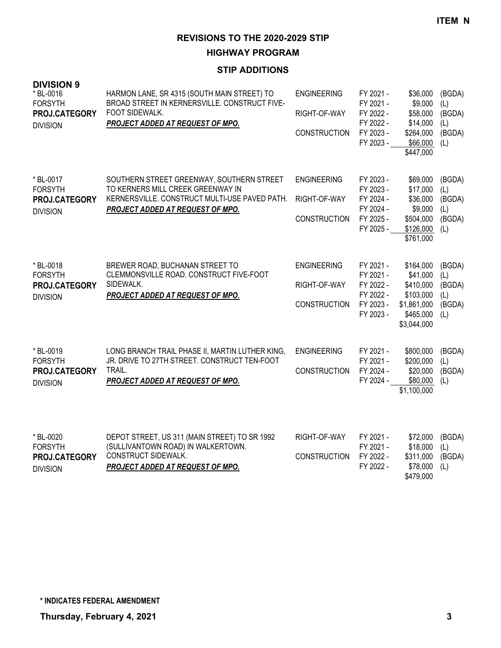**HIGHWAY PROGRAM**

| <b>DIVISION 9</b><br>* BL-0016<br><b>FORSYTH</b><br>PROJ.CATEGORY<br><b>DIVISION</b> | HARMON LANE, SR 4315 (SOUTH MAIN STREET) TO<br>BROAD STREET IN KERNERSVILLE. CONSTRUCT FIVE-<br>FOOT SIDEWALK.<br>PROJECT ADDED AT REQUEST OF MPO.                         | ENGINEERING<br>RIGHT-OF-WAY<br><b>CONSTRUCTION</b>        | FY 2021 -<br>FY 2021 -<br>FY 2022 -<br>FY 2022 -<br>FY 2023 -<br>FY 2023 - | \$36,000<br>\$9,000<br>\$58,000<br>\$14,000<br>\$264,000<br>\$66,000<br>\$447,000          | (BGDA)<br>(L)<br>(BGDA)<br>(L)<br>(BGDA)<br>(1) |
|--------------------------------------------------------------------------------------|----------------------------------------------------------------------------------------------------------------------------------------------------------------------------|-----------------------------------------------------------|----------------------------------------------------------------------------|--------------------------------------------------------------------------------------------|-------------------------------------------------|
| * BL-0017<br><b>FORSYTH</b><br>PROJ.CATEGORY<br><b>DIVISION</b>                      | SOUTHERN STREET GREENWAY, SOUTHERN STREET<br>TO KERNERS MILL CREEK GREENWAY IN<br>KERNERSVILLE. CONSTRUCT MULTI-USE PAVED PATH.<br><b>PROJECT ADDED AT REQUEST OF MPO.</b> | <b>ENGINEERING</b><br>RIGHT-OF-WAY<br><b>CONSTRUCTION</b> | FY 2023 -<br>FY 2023 -<br>FY 2024 -<br>FY 2024 -<br>FY 2025 -<br>FY 2025 - | \$69,000<br>\$17,000<br>\$36,000<br>\$9,000<br>\$504,000<br>\$126,000<br>\$761,000         | (BGDA)<br>(L)<br>(BGDA)<br>(L)<br>(BGDA)<br>(L) |
| * BL-0018<br><b>FORSYTH</b><br>PROJ.CATEGORY<br><b>DIVISION</b>                      | BREWER ROAD, BUCHANAN STREET TO<br>CLEMMONSVILLE ROAD. CONSTRUCT FIVE-FOOT<br>SIDEWALK.<br>PROJECT ADDED AT REQUEST OF MPO.                                                | <b>ENGINEERING</b><br>RIGHT-OF-WAY<br><b>CONSTRUCTION</b> | FY 2021 -<br>FY 2021 -<br>FY 2022 -<br>FY 2022 -<br>FY 2023 -<br>FY 2023 - | \$164,000<br>\$41,000<br>\$410,000<br>\$103,000<br>\$1,861,000<br>\$465,000<br>\$3,044,000 | (BGDA)<br>(L)<br>(BGDA)<br>(L)<br>(BGDA)<br>(L) |
| * BL-0019<br><b>FORSYTH</b><br>PROJ.CATEGORY<br><b>DIVISION</b>                      | LONG BRANCH TRAIL PHASE II, MARTIN LUTHER KING,<br>JR. DRIVE TO 27TH STREET. CONSTRUCT TEN-FOOT<br>TRAIL.<br>PROJECT ADDED AT REQUEST OF MPO.                              | <b>ENGINEERING</b><br><b>CONSTRUCTION</b>                 | FY 2021 -<br>FY 2021 -<br>FY 2024 -<br>FY 2024 -                           | \$800,000<br>\$200,000<br>\$20,000<br>\$80,000<br>\$1,100,000                              | (BGDA)<br>(L)<br>(BGDA)<br>(L)                  |
| * BL-0020<br><b>FORSYTH</b><br>PROJ.CATEGORY<br><b>DIVISION</b>                      | DEPOT STREET, US 311 (MAIN STREET) TO SR 1992<br>(SULLIVANTOWN ROAD) IN WALKERTOWN.<br>CONSTRUCT SIDEWALK.<br>PROJECT ADDED AT REQUEST OF MPO.                             | RIGHT-OF-WAY<br><b>CONSTRUCTION</b>                       | FY 2021 -<br>FY 2021 -<br>FY 2022 -<br>FY 2022 -                           | \$72,000<br>\$18,000<br>\$311,000<br>\$78,000<br>\$479,000                                 | (BGDA)<br>(L)<br>(BGDA)<br>(L)                  |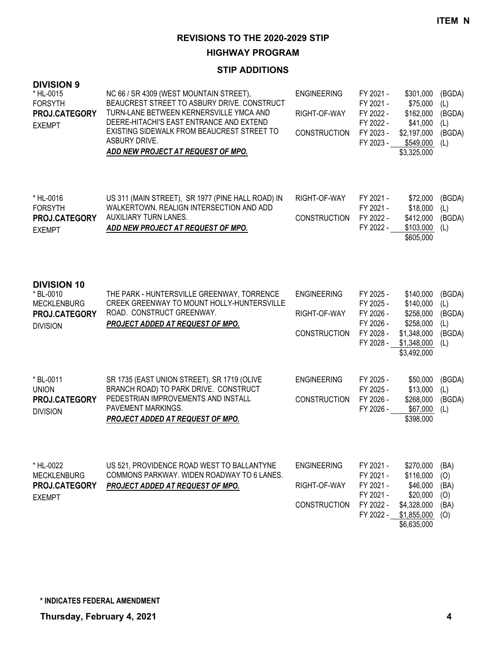**HIGHWAY PROGRAM**

| <b>DIVISION 9</b><br>* HL-0015<br><b>FORSYTH</b><br>PROJ.CATEGORY<br><b>EXEMPT</b>        | NC 66 / SR 4309 (WEST MOUNTAIN STREET),<br>BEAUCREST STREET TO ASBURY DRIVE. CONSTRUCT<br>TURN-LANE BETWEEN KERNERSVILLE YMCA AND<br>DEERE-HITACHI'S EAST ENTRANCE AND EXTEND<br>EXISTING SIDEWALK FROM BEAUCREST STREET TO<br>ASBURY DRIVE.<br>ADD NEW PROJECT AT REQUEST OF MPO. | <b>ENGINEERING</b><br>RIGHT-OF-WAY<br><b>CONSTRUCTION</b> | FY 2021 -<br>FY 2021 -<br>FY 2022 -<br>FY 2022 -<br>FY 2023 -<br>FY 2023 - | \$301,000<br>\$75,000<br>\$162,000<br>\$41,000<br>\$2,197,000<br>\$549,000<br>\$3,325,000     | (BGDA)<br>(L)<br>(BGDA)<br>(L)<br>(BGDA)<br>(1) |
|-------------------------------------------------------------------------------------------|------------------------------------------------------------------------------------------------------------------------------------------------------------------------------------------------------------------------------------------------------------------------------------|-----------------------------------------------------------|----------------------------------------------------------------------------|-----------------------------------------------------------------------------------------------|-------------------------------------------------|
| * HL-0016<br><b>FORSYTH</b><br>PROJ.CATEGORY<br><b>EXEMPT</b>                             | US 311 (MAIN STREET), SR 1977 (PINE HALL ROAD) IN<br>WALKERTOWN. REALIGN INTERSECTION AND ADD<br>AUXILIARY TURN LANES.<br>ADD NEW PROJECT AT REQUEST OF MPO.                                                                                                                       | RIGHT-OF-WAY<br><b>CONSTRUCTION</b>                       | FY 2021 -<br>FY 2021 -<br>FY 2022 -<br>FY 2022 -                           | \$72,000<br>\$18,000<br>\$412,000<br>\$103,000<br>\$605,000                                   | (BGDA)<br>(L)<br>(BGDA)<br>(L)                  |
| <b>DIVISION 10</b><br>* BL-0010<br><b>MECKLENBURG</b><br>PROJ.CATEGORY<br><b>DIVISION</b> | THE PARK - HUNTERSVILLE GREENWAY, TORRENCE<br>CREEK GREENWAY TO MOUNT HOLLY-HUNTERSVILLE<br>ROAD. CONSTRUCT GREENWAY.<br>PROJECT ADDED AT REQUEST OF MPO.                                                                                                                          | <b>ENGINEERING</b><br>RIGHT-OF-WAY<br><b>CONSTRUCTION</b> | FY 2025 -<br>FY 2025 -<br>FY 2026 -<br>FY 2026 -<br>FY 2028 -<br>FY 2028 - | \$140,000<br>\$140,000<br>\$258,000<br>\$258,000<br>\$1,348,000<br>\$1,348,000<br>\$3,492,000 | (BGDA)<br>(L)<br>(BGDA)<br>(L)<br>(BGDA)<br>(L) |
| * BL-0011<br><b>UNION</b><br>PROJ.CATEGORY<br><b>DIVISION</b>                             | SR 1735 (EAST UNION STREET), SR 1719 (OLIVE<br>BRANCH ROAD) TO PARK DRIVE. CONSTRUCT<br>PEDESTRIAN IMPROVEMENTS AND INSTALL<br>PAVEMENT MARKINGS.<br>PROJECT ADDED AT REQUEST OF MPO.                                                                                              | <b>ENGINEERING</b><br><b>CONSTRUCTION</b>                 | FY 2025 -<br>FY 2025 -<br>FY 2026 -<br>FY 2026 -                           | \$50,000<br>\$13,000<br>\$268,000<br>\$67,000<br>\$398,000                                    | (BGDA)<br>(L)<br>(BGDA)<br>(L)                  |
| * HL-0022<br><b>MECKLENBURG</b><br>PROJ.CATEGORY<br><b>EXEMPT</b>                         | US 521, PROVIDENCE ROAD WEST TO BALLANTYNE<br>COMMONS PARKWAY. WIDEN ROADWAY TO 6 LANES.<br>PROJECT ADDED AT REQUEST OF MPO.                                                                                                                                                       | <b>ENGINEERING</b><br>RIGHT-OF-WAY<br><b>CONSTRUCTION</b> | FY 2021 -<br>FY 2021 -<br>FY 2021 -<br>FY 2021 -<br>FY 2022 -<br>FY 2022 - | \$270,000<br>\$116,000<br>\$46,000<br>\$20,000<br>\$4,328,000<br>\$1,855,000<br>\$6,635,000   | (BA)<br>(O)<br>(BA)<br>(O)<br>(BA)<br>(O)       |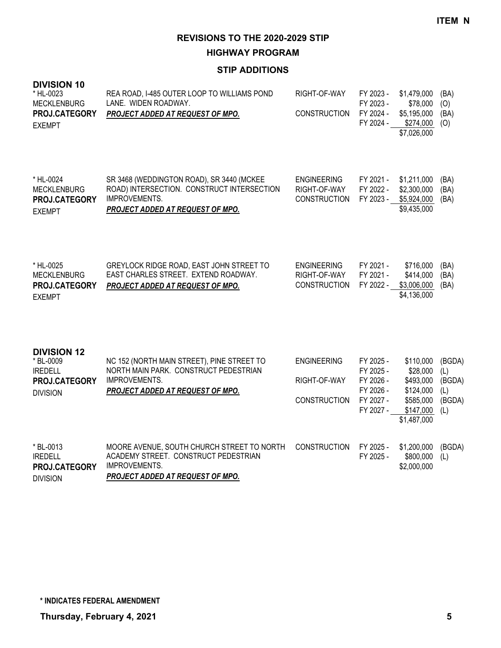**HIGHWAY PROGRAM**

| <b>DIVISION 10</b><br>* HL-0023<br><b>MECKLENBURG</b><br>PROJ.CATEGORY<br><b>EXEMPT</b> | REA ROAD, I-485 OUTER LOOP TO WILLIAMS POND<br>LANE. WIDEN ROADWAY.<br>PROJECT ADDED AT REQUEST OF MPO.                                      | RIGHT-OF-WAY<br><b>CONSTRUCTION</b>                       | FY 2023 -<br>FY 2023 -<br>FY 2024 -<br>FY 2024 -                           | \$1,479,000<br>\$78,000<br>\$5,195,000<br>\$274,000<br>\$7,026,000                       | (BA)<br>(O)<br>(BA)<br>(O)                      |
|-----------------------------------------------------------------------------------------|----------------------------------------------------------------------------------------------------------------------------------------------|-----------------------------------------------------------|----------------------------------------------------------------------------|------------------------------------------------------------------------------------------|-------------------------------------------------|
| * HL-0024<br><b>MECKLENBURG</b><br>PROJ.CATEGORY<br><b>EXEMPT</b>                       | SR 3468 (WEDDINGTON ROAD), SR 3440 (MCKEE<br>ROAD) INTERSECTION. CONSTRUCT INTERSECTION<br>IMPROVEMENTS.<br>PROJECT ADDED AT REQUEST OF MPO. | <b>ENGINEERING</b><br>RIGHT-OF-WAY<br>CONSTRUCTION        | FY 2021 -<br>FY 2022 -<br>FY 2023 -                                        | \$1,211,000<br>\$2,300,000<br>\$5,924,000<br>\$9,435,000                                 | (BA)<br>(BA)<br>(BA)                            |
| * HL-0025<br><b>MECKLENBURG</b><br>PROJ.CATEGORY<br><b>EXEMPT</b>                       | GREYLOCK RIDGE ROAD, EAST JOHN STREET TO<br>EAST CHARLES STREET. EXTEND ROADWAY.<br>PROJECT ADDED AT REQUEST OF MPO.                         | <b>ENGINEERING</b><br>RIGHT-OF-WAY<br><b>CONSTRUCTION</b> | FY 2021 -<br>FY 2021 -<br>FY 2022 -                                        | \$716,000<br>\$414,000<br>\$3,006,000<br>\$4,136,000                                     | (BA)<br>(BA)<br>(BA)                            |
| <b>DIVISION 12</b><br>* BL-0009<br><b>IREDELL</b><br>PROJ.CATEGORY<br><b>DIVISION</b>   | NC 152 (NORTH MAIN STREET), PINE STREET TO<br>NORTH MAIN PARK. CONSTRUCT PEDESTRIAN<br>IMPROVEMENTS.<br>PROJECT ADDED AT REQUEST OF MPO.     | <b>ENGINEERING</b><br>RIGHT-OF-WAY<br><b>CONSTRUCTION</b> | FY 2025 -<br>FY 2025 -<br>FY 2026 -<br>FY 2026 -<br>FY 2027 -<br>FY 2027 - | \$110,000<br>\$28,000<br>\$493,000<br>\$124,000<br>\$585,000<br>\$147,000<br>\$1,487,000 | (BGDA)<br>(L)<br>(BGDA)<br>(L)<br>(BGDA)<br>(L) |
| * BL-0013<br><b>IREDELL</b><br>PROJ.CATEGORY<br><b>DIVISION</b>                         | MOORE AVENUE, SOUTH CHURCH STREET TO NORTH<br>ACADEMY STREET. CONSTRUCT PEDESTRIAN<br>IMPROVEMENTS.<br>PROJECT ADDED AT REQUEST OF MPO.      | <b>CONSTRUCTION</b>                                       | FY 2025 -<br>FY 2025 -                                                     | \$1,200,000<br>\$800,000<br>\$2,000,000                                                  | (BGDA)<br>(L)                                   |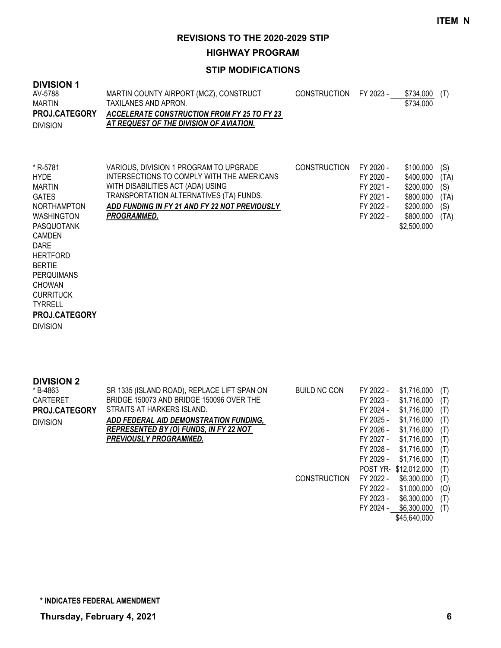**HIGHWAY PROGRAM**

### **STIP MODIFICATIONS**

| <b>DIVISION 1</b><br>AV-5788<br><b>MARTIN</b><br>PROJ.CATEGORY<br><b>DIVISION</b>                                                                                                                                                                                                       | MARTIN COUNTY AIRPORT (MCZ), CONSTRUCT<br>TAXILANES AND APRON.<br><b>ACCELERATE CONSTRUCTION FROM FY 25 TO FY 23</b><br>AT REQUEST OF THE DIVISION OF AVIATION.                                                                             | <b>CONSTRUCTION</b> | FY 2023 -                                                                  | \$734,000<br>\$734,000                                                                    | (T)                                       |
|-----------------------------------------------------------------------------------------------------------------------------------------------------------------------------------------------------------------------------------------------------------------------------------------|---------------------------------------------------------------------------------------------------------------------------------------------------------------------------------------------------------------------------------------------|---------------------|----------------------------------------------------------------------------|-------------------------------------------------------------------------------------------|-------------------------------------------|
| * R-5781<br><b>HYDE</b><br>MARTIN<br><b>GATES</b><br><b>NORTHAMPTON</b><br><b>WASHINGTON</b><br>PASQUOTANK<br><b>CAMDEN</b><br><b>DARE</b><br><b>HERTFORD</b><br><b>BERTIE</b><br>PERQUIMANS<br><b>CHOWAN</b><br><b>CURRITUCK</b><br><b>TYRRELL</b><br>PROJ.CATEGORY<br><b>DIVISION</b> | VARIOUS, DIVISION 1 PROGRAM TO UPGRADE<br>INTERSECTIONS TO COMPLY WITH THE AMERICANS<br>WITH DISABILITIES ACT (ADA) USING<br>TRANSPORTATION ALTERNATIVES (TA) FUNDS.<br>ADD FUNDING IN FY 21 AND FY 22 NOT PREVIOUSLY<br><b>PROGRAMMED.</b> | <b>CONSTRUCTION</b> | FY 2020 -<br>FY 2020 -<br>FY 2021 -<br>FY 2021 -<br>FY 2022 -<br>FY 2022 - | \$100,000<br>\$400,000<br>\$200,000<br>\$800,000<br>\$200,000<br>\$800,000<br>\$2,500,000 | (S)<br>(TA)<br>(S)<br>(TA)<br>(S)<br>(TA) |

| <b>DIVISION 2</b> |                                               |                     |           |                      |     |
|-------------------|-----------------------------------------------|---------------------|-----------|----------------------|-----|
| * B-4863          | SR 1335 (ISLAND ROAD), REPLACE LIFT SPAN ON   | <b>BUILD NC CON</b> | FY 2022 - | \$1,716,000          | (T) |
| CARTERET          | BRIDGE 150073 AND BRIDGE 150096 OVER THE      |                     | FY 2023 - | \$1.716.000          | (T) |
| PROJ.CATEGORY     | STRAITS AT HARKERS ISLAND.                    |                     | FY 2024 - | \$1,716,000          | (T) |
| <b>DIVISION</b>   | ADD FEDERAL AID DEMONSTRATION FUNDING,        |                     | FY 2025 - | \$1.716.000          | (T) |
|                   | <b>REPRESENTED BY (O) FUNDS, IN FY 22 NOT</b> |                     | FY 2026 - | \$1,716,000          | (T) |
|                   | PREVIOUSLY PROGRAMMED.                        |                     | FY 2027 - | \$1.716.000          | (T) |
|                   |                                               |                     | FY 2028 - | \$1,716,000          | (T) |
|                   |                                               |                     | FY 2029 - | \$1.716.000          | (T) |
|                   |                                               |                     |           | POST YR \$12,012,000 | (T) |
|                   |                                               | <b>CONSTRUCTION</b> | FY 2022 - | \$6,300,000          | (T) |
|                   |                                               |                     | FY 2022 - | \$1,000,000          | (O) |
|                   |                                               |                     | FY 2023 - | \$6,300,000          | (T) |
|                   |                                               |                     | FY 2024 - | \$6,300,000          | (T) |

\$45,640,000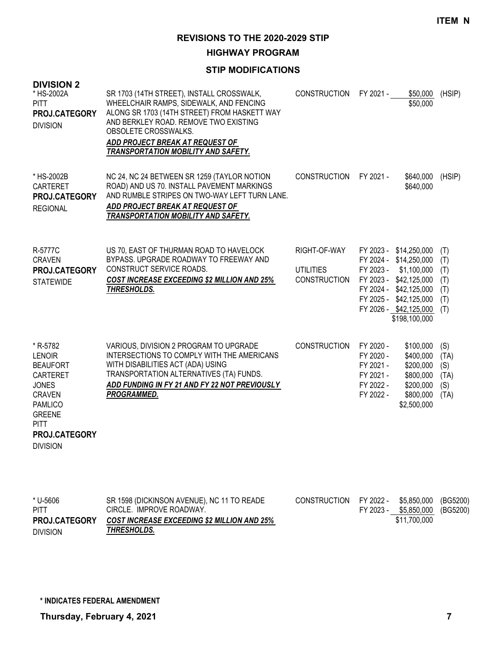**HIGHWAY PROGRAM**

### **STIP MODIFICATIONS**

| <b>DIVISION 2</b><br>* HS-2002A<br><b>PITT</b><br>PROJ.CATEGORY<br><b>DIVISION</b>                                                                                                     | SR 1703 (14TH STREET), INSTALL CROSSWALK,<br>WHEELCHAIR RAMPS, SIDEWALK, AND FENCING<br>ALONG SR 1703 (14TH STREET) FROM HASKETT WAY<br>AND BERKLEY ROAD. REMOVE TWO EXISTING<br>OBSOLETE CROSSWALKS.<br>ADD PROJECT BREAK AT REQUEST OF<br>TRANSPORTATION MOBILITY AND SAFETY. | <b>CONSTRUCTION</b>                                     | FY 2021 -                                                                  | \$50,000<br>\$50,000                                                                                                                                                                     | (HSIP)                                        |
|----------------------------------------------------------------------------------------------------------------------------------------------------------------------------------------|---------------------------------------------------------------------------------------------------------------------------------------------------------------------------------------------------------------------------------------------------------------------------------|---------------------------------------------------------|----------------------------------------------------------------------------|------------------------------------------------------------------------------------------------------------------------------------------------------------------------------------------|-----------------------------------------------|
| * HS-2002B<br><b>CARTERET</b><br>PROJ.CATEGORY<br><b>REGIONAL</b>                                                                                                                      | NC 24, NC 24 BETWEEN SR 1259 (TAYLOR NOTION<br>ROAD) AND US 70. INSTALL PAVEMENT MARKINGS<br>AND RUMBLE STRIPES ON TWO-WAY LEFT TURN LANE.<br>ADD PROJECT BREAK AT REQUEST OF<br><b>TRANSPORTATION MOBILITY AND SAFETY.</b>                                                     | <b>CONSTRUCTION</b>                                     | FY 2021 -                                                                  | \$640,000<br>\$640,000                                                                                                                                                                   | (HSIP)                                        |
| R-5777C<br><b>CRAVEN</b><br>PROJ.CATEGORY<br><b>STATEWIDE</b>                                                                                                                          | US 70, EAST OF THURMAN ROAD TO HAVELOCK<br>BYPASS. UPGRADE ROADWAY TO FREEWAY AND<br>CONSTRUCT SERVICE ROADS.<br><b>COST INCREASE EXCEEDING \$2 MILLION AND 25%</b><br>THRESHOLDS.                                                                                              | RIGHT-OF-WAY<br><b>UTILITIES</b><br><b>CONSTRUCTION</b> | FY 2023 -                                                                  | FY 2023 - \$14,250,000<br>FY 2024 - \$14,250,000<br>\$1,100,000<br>FY 2023 - \$42,125,000<br>FY 2024 - \$42,125,000<br>FY 2025 - \$42,125,000<br>FY 2026 - \$42,125,000<br>\$198,100,000 | (T)<br>(T)<br>(T)<br>(T)<br>(T)<br>(T)<br>(T) |
| * R-5782<br><b>LENOIR</b><br><b>BEAUFORT</b><br><b>CARTERET</b><br><b>JONES</b><br><b>CRAVEN</b><br><b>PAMLICO</b><br><b>GREENE</b><br><b>PITT</b><br>PROJ.CATEGORY<br><b>DIVISION</b> | VARIOUS, DIVISION 2 PROGRAM TO UPGRADE<br>INTERSECTIONS TO COMPLY WITH THE AMERICANS<br>WITH DISABILITIES ACT (ADA) USING<br>TRANSPORTATION ALTERNATIVES (TA) FUNDS.<br>ADD FUNDING IN FY 21 AND FY 22 NOT PREVIOUSLY<br><b>PROGRAMMED.</b>                                     | <b>CONSTRUCTION</b>                                     | FY 2020 -<br>FY 2020 -<br>FY 2021 -<br>FY 2021 -<br>FY 2022 -<br>FY 2022 - | \$100,000<br>\$400,000<br>\$200,000<br>\$800,000<br>\$200,000<br>\$800,000<br>\$2,500,000                                                                                                | (S)<br>(TA)<br>(S)<br>(TA)<br>(S)<br>(TA)     |

| * U-5606             | SR 1598 (DICKINSON AVENUE), NC 11 TO READE         | CONSTRUCTION FY 2022 - |           | \$5.850.000 (BG5200) |  |
|----------------------|----------------------------------------------------|------------------------|-----------|----------------------|--|
| <b>PITT</b>          | CIRCLE. IMPROVE ROADWAY.                           |                        | FY 2023 - | \$5,850,000 (BG5200) |  |
| <b>PROJ.CATEGORY</b> | <b>COST INCREASE EXCEEDING \$2 MILLION AND 25%</b> |                        |           | \$11.700.000         |  |
| <b>DIVISION</b>      | THRESHOLDS.                                        |                        |           |                      |  |

**\* INDICATES FEDERAL AMENDMENT**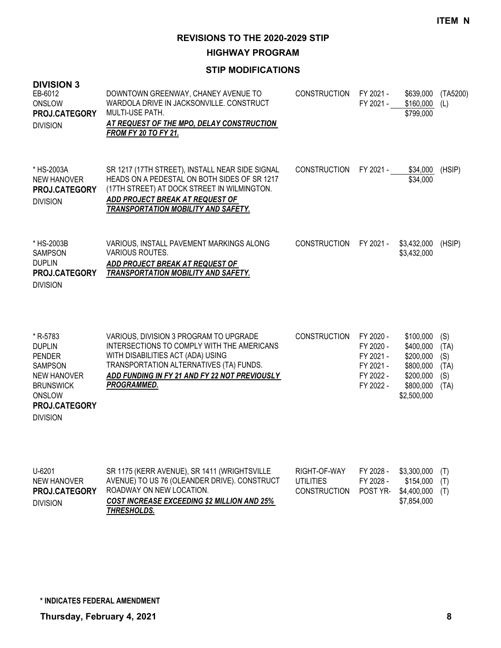**HIGHWAY PROGRAM**

| <b>DIVISION 3</b><br>EB-6012<br>ONSLOW<br>PROJ.CATEGORY<br><b>DIVISION</b>                                                                                  | DOWNTOWN GREENWAY, CHANEY AVENUE TO<br>WARDOLA DRIVE IN JACKSONVILLE. CONSTRUCT<br><b>MULTI-USE PATH.</b><br>AT REQUEST OF THE MPO, DELAY CONSTRUCTION<br><b>FROM FY 20 TO FY 21.</b>                                                | <b>CONSTRUCTION</b> | FY 2021 -<br>FY 2021 -                                                     | \$639,000<br>\$160,000<br>\$799,000                                                       | (TA5200)<br>(1)                           |
|-------------------------------------------------------------------------------------------------------------------------------------------------------------|--------------------------------------------------------------------------------------------------------------------------------------------------------------------------------------------------------------------------------------|---------------------|----------------------------------------------------------------------------|-------------------------------------------------------------------------------------------|-------------------------------------------|
| * HS-2003A<br><b>NEW HANOVER</b><br><b>PROJ.CATEGORY</b><br><b>DIVISION</b>                                                                                 | SR 1217 (17TH STREET), INSTALL NEAR SIDE SIGNAL<br>HEADS ON A PEDESTAL ON BOTH SIDES OF SR 1217<br>(17TH STREET) AT DOCK STREET IN WILMINGTON.<br>ADD PROJECT BREAK AT REQUEST OF<br>TRANSPORTATION MOBILITY AND SAFETY.             | <b>CONSTRUCTION</b> | FY 2021 -                                                                  | \$34,000<br>\$34,000                                                                      | (HSIP)                                    |
| * HS-2003B<br><b>SAMPSON</b><br><b>DUPLIN</b><br><b>PROJ.CATEGORY</b><br><b>DIVISION</b>                                                                    | VARIOUS, INSTALL PAVEMENT MARKINGS ALONG<br>VARIOUS ROUTES.<br>ADD PROJECT BREAK AT REQUEST OF<br>TRANSPORTATION MOBILITY AND SAFETY.                                                                                                | <b>CONSTRUCTION</b> | FY 2021 -                                                                  | \$3,432,000<br>\$3,432,000                                                                | (HSIP)                                    |
| * R-5783<br><b>DUPLIN</b><br><b>PENDER</b><br><b>SAMPSON</b><br><b>NEW HANOVER</b><br><b>BRUNSWICK</b><br>ONSLOW<br><b>PROJ.CATEGORY</b><br><b>DIVISION</b> | VARIOUS, DIVISION 3 PROGRAM TO UPGRADE<br>INTERSECTIONS TO COMPLY WITH THE AMERICANS<br>WITH DISABILITIES ACT (ADA) USING<br>TRANSPORTATION ALTERNATIVES (TA) FUNDS.<br>ADD FUNDING IN FY 21 AND FY 22 NOT PREVIOUSLY<br>PROGRAMMED. | <b>CONSTRUCTION</b> | FY 2020 -<br>FY 2020 -<br>FY 2021 -<br>FY 2021 -<br>FY 2022 -<br>FY 2022 - | \$100,000<br>\$400,000<br>\$200,000<br>\$800,000<br>\$200,000<br>\$800,000<br>\$2,500,000 | (S)<br>(TA)<br>(S)<br>(TA)<br>(S)<br>(TA) |

| $U - 6201$           | SR 1175 (KERR AVENUE), SR 1411 (WRIGHTSVILLE       | RIGHT-OF-WAY                         | FY 2028 - | $$3,300,000$ (T) |  |
|----------------------|----------------------------------------------------|--------------------------------------|-----------|------------------|--|
| NEW HANOVER          | AVENUE) TO US 76 (OLEANDER DRIVE). CONSTRUCT       | UTILITIES                            | FY 2028 - | $$154,000$ (T)   |  |
| <b>PROJ.CATEGORY</b> | ROADWAY ON NEW LOCATION.                           | CONSTRUCTION POST YR \$4,400,000 (T) |           |                  |  |
| <b>DIVISION</b>      | <b>COST INCREASE EXCEEDING \$2 MILLION AND 25%</b> |                                      |           | \$7.854.000      |  |
|                      | THRESHOLDS.                                        |                                      |           |                  |  |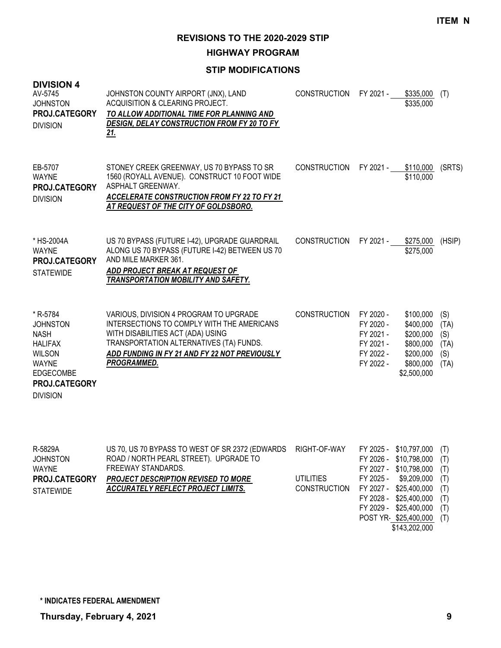**HIGHWAY PROGRAM**

### **STIP MODIFICATIONS**

| <b>DIVISION 4</b><br>AV-5745<br><b>JOHNSTON</b><br><b>PROJ.CATEGORY</b><br><b>DIVISION</b>                                                                   | JOHNSTON COUNTY AIRPORT (JNX), LAND<br>ACQUISITION & CLEARING PROJECT.<br>TO ALLOW ADDITIONAL TIME FOR PLANNING AND<br><b>DESIGN, DELAY CONSTRUCTION FROM FY 20 TO FY</b><br><u>21.</u>                                              | <b>CONSTRUCTION</b> | FY 2021 -                                                                  | \$335,000<br>\$335,000                                                                    | (T)                                       |
|--------------------------------------------------------------------------------------------------------------------------------------------------------------|--------------------------------------------------------------------------------------------------------------------------------------------------------------------------------------------------------------------------------------|---------------------|----------------------------------------------------------------------------|-------------------------------------------------------------------------------------------|-------------------------------------------|
| EB-5707<br><b>WAYNE</b><br><b>PROJ.CATEGORY</b><br><b>DIVISION</b>                                                                                           | STONEY CREEK GREENWAY, US 70 BYPASS TO SR<br>1560 (ROYALL AVENUE). CONSTRUCT 10 FOOT WIDE<br>ASPHALT GREENWAY.<br><b>ACCELERATE CONSTRUCTION FROM FY 22 TO FY 21</b><br>AT REQUEST OF THE CITY OF GOLDSBORO.                         | <b>CONSTRUCTION</b> | FY 2021 -                                                                  | \$110,000<br>\$110,000                                                                    | (SRTS)                                    |
| * HS-2004A<br><b>WAYNE</b><br><b>PROJ.CATEGORY</b><br><b>STATEWIDE</b>                                                                                       | US 70 BYPASS (FUTURE I-42), UPGRADE GUARDRAIL<br>ALONG US 70 BYPASS (FUTURE I-42) BETWEEN US 70<br>AND MILE MARKER 361.<br>ADD PROJECT BREAK AT REQUEST OF<br>TRANSPORTATION MOBILITY AND SAFETY.                                    | <b>CONSTRUCTION</b> | FY 2021 -                                                                  | \$275,000<br>\$275,000                                                                    | (HSIP)                                    |
| * R-5784<br><b>JOHNSTON</b><br><b>NASH</b><br><b>HALIFAX</b><br><b>WILSON</b><br><b>WAYNE</b><br><b>EDGECOMBE</b><br><b>PROJ.CATEGORY</b><br><b>DIVISION</b> | VARIOUS, DIVISION 4 PROGRAM TO UPGRADE<br>INTERSECTIONS TO COMPLY WITH THE AMERICANS<br>WITH DISABILITIES ACT (ADA) USING<br>TRANSPORTATION ALTERNATIVES (TA) FUNDS.<br>ADD FUNDING IN FY 21 AND FY 22 NOT PREVIOUSLY<br>PROGRAMMED. | <b>CONSTRUCTION</b> | FY 2020 -<br>FY 2020 -<br>FY 2021 -<br>FY 2021 -<br>FY 2022 -<br>FY 2022 - | \$100,000<br>\$400,000<br>\$200,000<br>\$800,000<br>\$200,000<br>\$800,000<br>\$2,500,000 | (S)<br>(TA)<br>(S)<br>(TA)<br>(S)<br>(TA) |

| R-5829A          | US 70, US 70 BYPASS TO WEST OF SR 2372 (EDWARDS RIGHT-OF-WAY |                                         | FY 2025 - \$10,797,000 (T) |  |
|------------------|--------------------------------------------------------------|-----------------------------------------|----------------------------|--|
| <b>JOHNSTON</b>  | ROAD / NORTH PEARL STREET). UPGRADE TO                       |                                         | FY 2026 - \$10,798,000 (T) |  |
| WAYNE            | FREEWAY STANDARDS.                                           |                                         | FY 2027 - \$10,798,000 (T) |  |
| PROJ.CATEGORY    | <b>PROJECT DESCRIPTION REVISED TO MORE</b>                   | UTILITIES                               | FY 2025 - \$9,209,000 (T)  |  |
| <b>STATEWIDE</b> | ACCURATELY REFLECT PROJECT LIMITS.                           | CONSTRUCTION FY 2027 - \$25,400,000 (T) |                            |  |
|                  |                                                              |                                         | FY 2028 - \$25,400,000 (T) |  |
|                  |                                                              |                                         | FY 2029 - \$25,400,000 (T) |  |
|                  |                                                              |                                         | POST YR \$25,400,000 (T)   |  |

\$143,202,000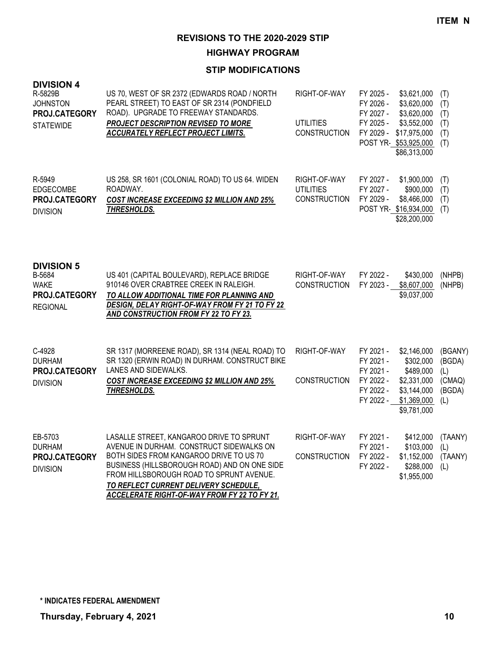**HIGHWAY PROGRAM**

| <b>DIVISION 4</b><br>R-5829B<br><b>JOHNSTON</b><br>PROJ.CATEGORY<br><b>STATEWIDE</b> | US 70, WEST OF SR 2372 (EDWARDS ROAD / NORTH<br>PEARL STREET) TO EAST OF SR 2314 (PONDFIELD<br>ROAD). UPGRADE TO FREEWAY STANDARDS.<br>PROJECT DESCRIPTION REVISED TO MORE<br>ACCURATELY REFLECT PROJECT LIMITS.                                                                                                     | RIGHT-OF-WAY<br><b>UTILITIES</b><br><b>CONSTRUCTION</b> | FY 2025 -<br>FY 2026 -<br>FY 2027 -<br>FY 2025 -<br>FY 2029 -              | \$3,621,000<br>\$3,620,000<br>\$3,620,000<br>\$3,552,000<br>\$17,975,000<br>POST YR-\$53,925,000<br>\$86,313,000 | (T)<br>(T)<br>(T)<br>(T)<br>(T)<br>(T)              |
|--------------------------------------------------------------------------------------|----------------------------------------------------------------------------------------------------------------------------------------------------------------------------------------------------------------------------------------------------------------------------------------------------------------------|---------------------------------------------------------|----------------------------------------------------------------------------|------------------------------------------------------------------------------------------------------------------|-----------------------------------------------------|
| R-5949<br><b>EDGECOMBE</b><br>PROJ.CATEGORY<br><b>DIVISION</b>                       | US 258, SR 1601 (COLONIAL ROAD) TO US 64. WIDEN<br>ROADWAY.<br><b>COST INCREASE EXCEEDING \$2 MILLION AND 25%</b><br>THRESHOLDS.                                                                                                                                                                                     | RIGHT-OF-WAY<br><b>UTILITIES</b><br><b>CONSTRUCTION</b> | FY 2027 -<br>FY 2027 -<br>FY 2029 -                                        | \$1,900,000<br>\$900,000<br>\$8,466,000<br>POST YR \$16,934,000<br>\$28,200,000                                  | (T)<br>(T)<br>(T)<br>(T)                            |
| <b>DIVISION 5</b><br>B-5684<br><b>WAKE</b><br>PROJ.CATEGORY<br><b>REGIONAL</b>       | US 401 (CAPITAL BOULEVARD), REPLACE BRIDGE<br>910146 OVER CRABTREE CREEK IN RALEIGH.<br>TO ALLOW ADDITIONAL TIME FOR PLANNING AND<br><b>DESIGN, DELAY RIGHT-OF-WAY FROM FY 21 TO FY 22</b><br>AND CONSTRUCTION FROM FY 22 TO FY 23.                                                                                  | RIGHT-OF-WAY<br><b>CONSTRUCTION</b>                     | FY 2022 -<br>FY 2023 -                                                     | \$430,000<br>\$8,607,000<br>\$9,037,000                                                                          | (NHPB)<br>(NHPB)                                    |
| C-4928<br><b>DURHAM</b><br>PROJ.CATEGORY<br><b>DIVISION</b>                          | SR 1317 (MORREENE ROAD), SR 1314 (NEAL ROAD) TO<br>SR 1320 (ERWIN ROAD) IN DURHAM. CONSTRUCT BIKE<br>LANES AND SIDEWALKS.<br><b>COST INCREASE EXCEEDING \$2 MILLION AND 25%</b><br>THRESHOLDS.                                                                                                                       | RIGHT-OF-WAY<br><b>CONSTRUCTION</b>                     | FY 2021 -<br>FY 2021 -<br>FY 2021 -<br>FY 2022 -<br>FY 2022 -<br>FY 2022 - | \$2,146,000<br>\$302,000<br>\$489,000<br>\$2,331,000<br>\$3,144,000<br>\$1,369,000<br>\$9,781,000                | (BGANY)<br>(BGDA)<br>(L)<br>(CMAQ)<br>(BGDA)<br>(L) |
| EB-5703<br><b>DURHAM</b><br>PROJ.CATEGORY<br><b>DIVISION</b>                         | LASALLE STREET, KANGAROO DRIVE TO SPRUNT<br>AVENUE IN DURHAM. CONSTRUCT SIDEWALKS ON<br>BOTH SIDES FROM KANGAROO DRIVE TO US 70<br>BUSINESS (HILLSBOROUGH ROAD) AND ON ONE SIDE<br>FROM HILLSBOROUGH ROAD TO SPRUNT AVENUE.<br>TO REFLECT CURRENT DELIVERY SCHEDULE,<br>ACCELERATE RIGHT-OF-WAY FROM FY 22 TO FY 21. | RIGHT-OF-WAY<br><b>CONSTRUCTION</b>                     | FY 2021 -<br>FY 2021 -<br>FY 2022 -<br>FY 2022 -                           | \$412,000<br>\$103,000<br>\$1,152,000<br>\$288,000<br>\$1,955,000                                                | (TAANY)<br>(L)<br>(TAANY)<br>(L)                    |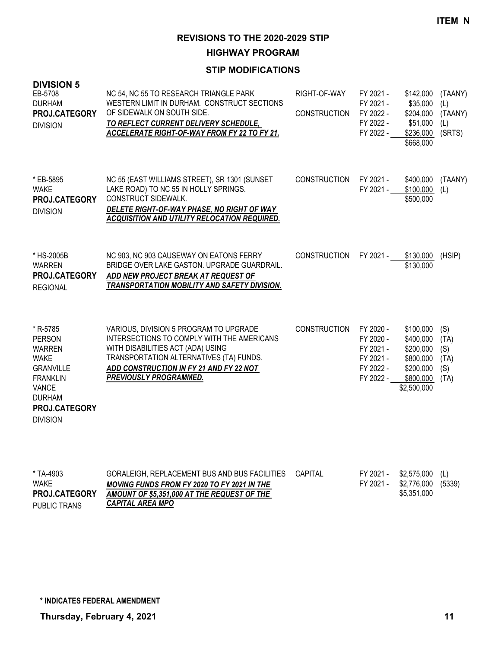**HIGHWAY PROGRAM**

| <b>DIVISION 5</b><br>EB-5708<br><b>DURHAM</b><br>PROJ.CATEGORY<br><b>DIVISION</b>                                                                                     | NC 54, NC 55 TO RESEARCH TRIANGLE PARK<br>WESTERN LIMIT IN DURHAM. CONSTRUCT SECTIONS<br>OF SIDEWALK ON SOUTH SIDE.<br>TO REFLECT CURRENT DELIVERY SCHEDULE,<br><b>ACCELERATE RIGHT-OF-WAY FROM FY 22 TO FY 21.</b>                       | RIGHT-OF-WAY<br><b>CONSTRUCTION</b> | FY 2021 -<br>FY 2021 -<br>FY 2022 -<br>FY 2022 -<br>FY 2022 -              | \$142,000<br>\$35,000<br>\$204,000<br>\$51,000<br>\$236,000<br>\$668,000                  | (TAANY)<br>(L)<br>(TAANY)<br>(L)<br>(SRTS) |
|-----------------------------------------------------------------------------------------------------------------------------------------------------------------------|-------------------------------------------------------------------------------------------------------------------------------------------------------------------------------------------------------------------------------------------|-------------------------------------|----------------------------------------------------------------------------|-------------------------------------------------------------------------------------------|--------------------------------------------|
| * EB-5895<br><b>WAKE</b><br>PROJ.CATEGORY<br><b>DIVISION</b>                                                                                                          | NC 55 (EAST WILLIAMS STREET), SR 1301 (SUNSET<br>LAKE ROAD) TO NC 55 IN HOLLY SPRINGS.<br>CONSTRUCT SIDEWALK.<br>DELETE RIGHT-OF-WAY PHASE, NO RIGHT OF WAY<br>ACQUISITION AND UTILITY RELOCATION REQUIRED.                               | <b>CONSTRUCTION</b>                 | FY 2021 -<br>FY 2021 -                                                     | \$400,000<br>\$100,000<br>\$500,000                                                       | (TAANY)<br>(L)                             |
| * HS-2005B<br><b>WARREN</b><br>PROJ.CATEGORY<br><b>REGIONAL</b>                                                                                                       | NC 903, NC 903 CAUSEWAY ON EATONS FERRY<br>BRIDGE OVER LAKE GASTON. UPGRADE GUARDRAIL.<br>ADD NEW PROJECT BREAK AT REQUEST OF<br>TRANSPORTATION MOBILITY AND SAFETY DIVISION.                                                             | <b>CONSTRUCTION</b>                 | FY 2021 -                                                                  | \$130,000<br>\$130,000                                                                    | (HSIP)                                     |
| * R-5785<br><b>PERSON</b><br><b>WARREN</b><br><b>WAKE</b><br><b>GRANVILLE</b><br><b>FRANKLIN</b><br><b>VANCE</b><br><b>DURHAM</b><br>PROJ.CATEGORY<br><b>DIVISION</b> | VARIOUS, DIVISION 5 PROGRAM TO UPGRADE<br>INTERSECTIONS TO COMPLY WITH THE AMERICANS<br>WITH DISABILITIES ACT (ADA) USING<br>TRANSPORTATION ALTERNATIVES (TA) FUNDS.<br>ADD CONSTRUCTION IN FY 21 AND FY 22 NOT<br>PREVIOUSLY PROGRAMMED. | CONSTRUCTION                        | FY 2020 -<br>FY 2020 -<br>FY 2021 -<br>FY 2021 -<br>FY 2022 -<br>FY 2022 - | \$100,000<br>\$400,000<br>\$200,000<br>\$800,000<br>\$200,000<br>\$800,000<br>\$2,500,000 | (S)<br>(TA)<br>(S)<br>(TA)<br>(S)<br>(TA)  |

| * TA-4903            | GORALEIGH, REPLACEMENT BUS AND BUS FACILITIES CAPITAL |  | $FY$ 2021 - \$2,575,000 (L)  |  |
|----------------------|-------------------------------------------------------|--|------------------------------|--|
| WAKE                 | <b>MOVING FUNDS FROM FY 2020 TO FY 2021 IN THE</b>    |  | FY 2021 - \$2,776,000 (5339) |  |
| <b>PROJ.CATEGORY</b> | AMOUNT OF \$5,351,000 AT THE REQUEST OF THE           |  | \$5.351,000                  |  |
| PUBLIC TRANS         | CAPITAL AREA MPO                                      |  |                              |  |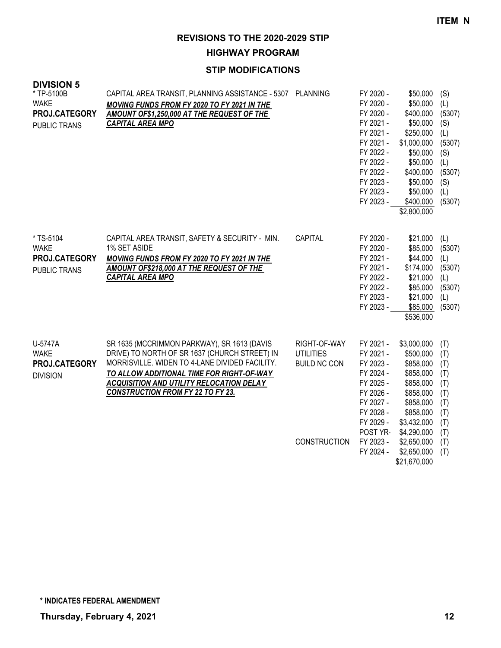# **HIGHWAY PROGRAM**

### **STIP MODIFICATIONS**

| <b>DIVISION 5</b><br>* TP-5100B<br><b>WAKE</b><br>PROJ.CATEGORY<br>PUBLIC TRANS | CAPITAL AREA TRANSIT, PLANNING ASSISTANCE - 5307 PLANNING<br>MOVING FUNDS FROM FY 2020 TO FY 2021 IN THE<br>AMOUNT OF\$1,250,000 AT THE REQUEST OF THE<br><b>CAPITAL AREA MPO</b>                                                                                                          |                                                                                | FY 2020 -<br>FY 2020 -<br>FY 2020 -<br>FY 2021 -<br>FY 2021 -<br>FY 2021 -<br>FY 2022 -<br>FY 2022 -<br>FY 2022 -<br>FY 2023 -<br>FY 2023 -<br>FY 2023 - | \$50,000<br>\$50,000<br>\$400,000<br>\$50,000<br>\$250,000<br>\$1,000,000<br>\$50,000<br>\$50,000<br>\$400,000<br>\$50,000<br>\$50,000<br>\$400,000<br>\$2,800,000 | (S)<br>(L)<br>(5307)<br>(S)<br>(L)<br>(5307)<br>(S)<br>(L)<br>(5307)<br>(S)<br>(L)<br>(5307) |
|---------------------------------------------------------------------------------|--------------------------------------------------------------------------------------------------------------------------------------------------------------------------------------------------------------------------------------------------------------------------------------------|--------------------------------------------------------------------------------|----------------------------------------------------------------------------------------------------------------------------------------------------------|--------------------------------------------------------------------------------------------------------------------------------------------------------------------|----------------------------------------------------------------------------------------------|
| * TS-5104<br><b>WAKE</b><br>PROJ.CATEGORY<br>PUBLIC TRANS                       | CAPITAL AREA TRANSIT, SAFETY & SECURITY - MIN.<br>1% SET ASIDE<br>MOVING FUNDS FROM FY 2020 TO FY 2021 IN THE<br>AMOUNT OF\$218,000 AT THE REQUEST OF THE<br><b>CAPITAL AREA MPO</b>                                                                                                       | CAPITAL                                                                        | FY 2020 -<br>FY 2020 -<br>FY 2021 -<br>FY 2021 -<br>FY 2022 -<br>FY 2022 -<br>FY 2023 -<br>FY 2023 -                                                     | \$21,000<br>\$85,000<br>\$44,000<br>\$174,000<br>\$21,000<br>\$85,000<br>\$21,000<br>\$85,000<br>\$536,000                                                         | (L)<br>(5307)<br>(L)<br>(5307)<br>(L)<br>(5307)<br>(L)<br>(5307)                             |
| U-5747A<br><b>WAKE</b><br>PROJ.CATEGORY<br><b>DIVISION</b>                      | SR 1635 (MCCRIMMON PARKWAY), SR 1613 (DAVIS<br>DRIVE) TO NORTH OF SR 1637 (CHURCH STREET) IN<br>MORRISVILLE. WIDEN TO 4-LANE DIVIDED FACILITY.<br>TO ALLOW ADDITIONAL TIME FOR RIGHT-OF-WAY<br><b>ACQUISITION AND UTILITY RELOCATION DELAY</b><br><b>CONSTRUCTION FROM FY 22 TO FY 23.</b> | RIGHT-OF-WAY<br><b>UTILITIES</b><br><b>BUILD NC CON</b><br><b>CONSTRUCTION</b> | FY 2021 -<br>FY 2021 -<br>FY 2023 -<br>FY 2024 -<br>FY 2025 -<br>FY 2026 -<br>FY 2027 -<br>FY 2028 -<br>FY 2029 -<br>POST YR-<br>FY 2023 -<br>FY 2024 -  | \$3,000,000<br>\$500,000<br>\$858,000<br>\$858,000<br>\$858,000<br>\$858,000<br>\$858,000<br>\$858,000<br>\$3,432,000<br>\$4,290,000<br>\$2,650,000<br>\$2,650,000 | (T)<br>(T)<br>(T)<br>(T)<br>(T)<br>(T)<br>(T)<br>(T)<br>(T)<br>(T)<br>(T)<br>(T)             |

\$21,670,000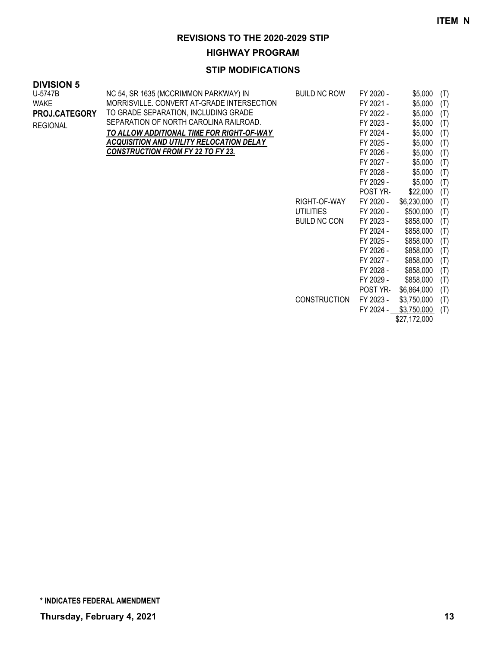**HIGHWAY PROGRAM**

| <b>DIVISION 5</b> |                                                 |                     |           |              |     |
|-------------------|-------------------------------------------------|---------------------|-----------|--------------|-----|
| U-5747B           | NC 54, SR 1635 (MCCRIMMON PARKWAY) IN           | <b>BUILD NC ROW</b> | FY 2020 - | \$5,000      | (T) |
| <b>WAKE</b>       | MORRISVILLE. CONVERT AT-GRADE INTERSECTION      |                     | FY 2021 - | \$5,000      | (T) |
| PROJ.CATEGORY     | TO GRADE SEPARATION, INCLUDING GRADE            |                     | FY 2022 - | \$5,000      | (T) |
| <b>REGIONAL</b>   | SEPARATION OF NORTH CAROLINA RAILROAD.          |                     | FY 2023 - | \$5,000      | (T) |
|                   | TO ALLOW ADDITIONAL TIME FOR RIGHT-OF-WAY       |                     | FY 2024 - | \$5,000      | (T) |
|                   | <b>ACQUISITION AND UTILITY RELOCATION DELAY</b> |                     | FY 2025 - | \$5,000      | (T) |
|                   | <b>CONSTRUCTION FROM FY 22 TO FY 23.</b>        |                     | FY 2026 - | \$5,000      | (T) |
|                   |                                                 |                     | FY 2027 - | \$5,000      | (T) |
|                   |                                                 |                     | FY 2028 - | \$5,000      | (T) |
|                   |                                                 |                     | FY 2029 - | \$5,000      | (T) |
|                   |                                                 |                     | POST YR-  | \$22,000     | (T) |
|                   |                                                 | RIGHT-OF-WAY        | FY 2020 - | \$6,230,000  | (T) |
|                   |                                                 | <b>UTILITIES</b>    | FY 2020 - | \$500,000    | (T) |
|                   |                                                 | <b>BUILD NC CON</b> | FY 2023 - | \$858,000    | (T) |
|                   |                                                 |                     | FY 2024 - | \$858,000    | (T) |
|                   |                                                 |                     | FY 2025 - | \$858,000    | (T) |
|                   |                                                 |                     | FY 2026 - | \$858,000    | (T) |
|                   |                                                 |                     | FY 2027 - | \$858,000    | (T) |
|                   |                                                 |                     | FY 2028 - | \$858,000    | (T) |
|                   |                                                 |                     | FY 2029 - | \$858,000    | (T) |
|                   |                                                 |                     | POST YR-  | \$6,864,000  | (T) |
|                   |                                                 | <b>CONSTRUCTION</b> | FY 2023 - | \$3,750,000  | (T) |
|                   |                                                 |                     | FY 2024 - | \$3,750,000  | (T) |
|                   |                                                 |                     |           | \$27,172,000 |     |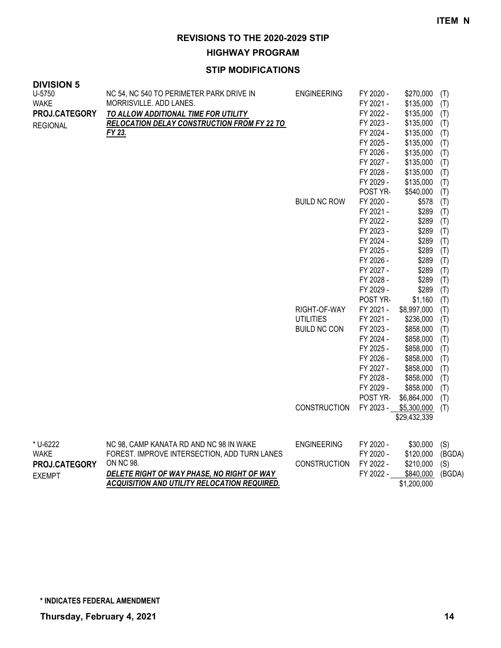**HIGHWAY PROGRAM**

| U-5750<br>FY 2020 -<br>NC 54, NC 540 TO PERIMETER PARK DRIVE IN<br><b>ENGINEERING</b><br>\$270,000<br>(T)<br><b>WAKE</b><br>MORRISVILLE. ADD LANES.<br>\$135,000<br>FY 2021 -<br>(T)<br>FY 2022 -<br>\$135,000<br>PROJ.CATEGORY<br>(T)<br>TO ALLOW ADDITIONAL TIME FOR UTILITY<br>FY 2023 -<br>\$135,000<br><b>RELOCATION DELAY CONSTRUCTION FROM FY 22 TO</b><br>(T)<br><b>REGIONAL</b><br>FY 23.<br>FY 2024 -<br>\$135,000<br>(T)<br>FY 2025 -<br>\$135,000<br>(T)<br>FY 2026 -<br>\$135,000<br>(T)<br>FY 2027 -<br>\$135,000<br>(T)<br>FY 2028 -<br>\$135,000<br>(T)<br>FY 2029 -<br>\$135,000<br>(T)<br>\$540,000<br>POST YR-<br>(T)<br><b>BUILD NC ROW</b><br>FY 2020 -<br>\$578<br>(T)<br>FY 2021 -<br>\$289<br>(T)<br>FY 2022 -<br>\$289<br>(T)<br>\$289<br>FY 2023 -<br>(T)<br>\$289<br>FY 2024 -<br>(T)<br>FY 2025 -<br>\$289<br>(T)<br>\$289<br>FY 2026 -<br>(T)<br>\$289<br>FY 2027 -<br>(T)<br>\$289<br>FY 2028 -<br>(T)<br>FY 2029 -<br>\$289<br>(T)<br>POST YR-<br>\$1,160<br>(T)<br>RIGHT-OF-WAY<br>FY 2021 -<br>\$8,997,000<br>(T)<br><b>UTILITIES</b><br>FY 2021 -<br>\$236,000<br>(T)<br>\$858,000<br><b>BUILD NC CON</b><br>FY 2023 -<br>(T)<br>FY 2024 -<br>\$858,000<br>(T)<br>FY 2025 -<br>\$858,000<br>(T)<br>FY 2026 -<br>\$858,000<br>(T)<br>FY 2027 -<br>\$858,000<br>(T)<br>\$858,000<br>FY 2028 -<br>(T)<br>FY 2029 -<br>\$858,000<br>(T)<br>POST YR-<br>\$6,864,000<br>(T)<br><b>CONSTRUCTION</b><br>FY 2023 -<br>\$5,300,000<br>(T)<br>\$29,432,339<br>* U-6222<br>NC 98, CAMP KANATA RD AND NC 98 IN WAKE<br><b>ENGINEERING</b><br>FY 2020 -<br>(S)<br>\$30,000<br>FOREST. IMPROVE INTERSECTION, ADD TURN LANES<br><b>WAKE</b><br>FY 2020 -<br>\$120,000<br>(BGDA)<br>ON NC 98.<br>PROJ.CATEGORY<br><b>CONSTRUCTION</b><br>FY 2022 -<br>\$210,000<br>(S) | <b>DIVISION 5</b> |                                            |  |           |           |        |
|-----------------------------------------------------------------------------------------------------------------------------------------------------------------------------------------------------------------------------------------------------------------------------------------------------------------------------------------------------------------------------------------------------------------------------------------------------------------------------------------------------------------------------------------------------------------------------------------------------------------------------------------------------------------------------------------------------------------------------------------------------------------------------------------------------------------------------------------------------------------------------------------------------------------------------------------------------------------------------------------------------------------------------------------------------------------------------------------------------------------------------------------------------------------------------------------------------------------------------------------------------------------------------------------------------------------------------------------------------------------------------------------------------------------------------------------------------------------------------------------------------------------------------------------------------------------------------------------------------------------------------------------------------------------------------------------------------------------------------------------------------------------------------------------|-------------------|--------------------------------------------|--|-----------|-----------|--------|
|                                                                                                                                                                                                                                                                                                                                                                                                                                                                                                                                                                                                                                                                                                                                                                                                                                                                                                                                                                                                                                                                                                                                                                                                                                                                                                                                                                                                                                                                                                                                                                                                                                                                                                                                                                                         |                   |                                            |  |           |           |        |
|                                                                                                                                                                                                                                                                                                                                                                                                                                                                                                                                                                                                                                                                                                                                                                                                                                                                                                                                                                                                                                                                                                                                                                                                                                                                                                                                                                                                                                                                                                                                                                                                                                                                                                                                                                                         |                   |                                            |  |           |           |        |
|                                                                                                                                                                                                                                                                                                                                                                                                                                                                                                                                                                                                                                                                                                                                                                                                                                                                                                                                                                                                                                                                                                                                                                                                                                                                                                                                                                                                                                                                                                                                                                                                                                                                                                                                                                                         |                   |                                            |  |           |           |        |
|                                                                                                                                                                                                                                                                                                                                                                                                                                                                                                                                                                                                                                                                                                                                                                                                                                                                                                                                                                                                                                                                                                                                                                                                                                                                                                                                                                                                                                                                                                                                                                                                                                                                                                                                                                                         |                   |                                            |  |           |           |        |
|                                                                                                                                                                                                                                                                                                                                                                                                                                                                                                                                                                                                                                                                                                                                                                                                                                                                                                                                                                                                                                                                                                                                                                                                                                                                                                                                                                                                                                                                                                                                                                                                                                                                                                                                                                                         |                   |                                            |  |           |           |        |
|                                                                                                                                                                                                                                                                                                                                                                                                                                                                                                                                                                                                                                                                                                                                                                                                                                                                                                                                                                                                                                                                                                                                                                                                                                                                                                                                                                                                                                                                                                                                                                                                                                                                                                                                                                                         |                   |                                            |  |           |           |        |
|                                                                                                                                                                                                                                                                                                                                                                                                                                                                                                                                                                                                                                                                                                                                                                                                                                                                                                                                                                                                                                                                                                                                                                                                                                                                                                                                                                                                                                                                                                                                                                                                                                                                                                                                                                                         |                   |                                            |  |           |           |        |
|                                                                                                                                                                                                                                                                                                                                                                                                                                                                                                                                                                                                                                                                                                                                                                                                                                                                                                                                                                                                                                                                                                                                                                                                                                                                                                                                                                                                                                                                                                                                                                                                                                                                                                                                                                                         |                   |                                            |  |           |           |        |
|                                                                                                                                                                                                                                                                                                                                                                                                                                                                                                                                                                                                                                                                                                                                                                                                                                                                                                                                                                                                                                                                                                                                                                                                                                                                                                                                                                                                                                                                                                                                                                                                                                                                                                                                                                                         |                   |                                            |  |           |           |        |
|                                                                                                                                                                                                                                                                                                                                                                                                                                                                                                                                                                                                                                                                                                                                                                                                                                                                                                                                                                                                                                                                                                                                                                                                                                                                                                                                                                                                                                                                                                                                                                                                                                                                                                                                                                                         |                   |                                            |  |           |           |        |
|                                                                                                                                                                                                                                                                                                                                                                                                                                                                                                                                                                                                                                                                                                                                                                                                                                                                                                                                                                                                                                                                                                                                                                                                                                                                                                                                                                                                                                                                                                                                                                                                                                                                                                                                                                                         |                   |                                            |  |           |           |        |
|                                                                                                                                                                                                                                                                                                                                                                                                                                                                                                                                                                                                                                                                                                                                                                                                                                                                                                                                                                                                                                                                                                                                                                                                                                                                                                                                                                                                                                                                                                                                                                                                                                                                                                                                                                                         |                   |                                            |  |           |           |        |
|                                                                                                                                                                                                                                                                                                                                                                                                                                                                                                                                                                                                                                                                                                                                                                                                                                                                                                                                                                                                                                                                                                                                                                                                                                                                                                                                                                                                                                                                                                                                                                                                                                                                                                                                                                                         |                   |                                            |  |           |           |        |
|                                                                                                                                                                                                                                                                                                                                                                                                                                                                                                                                                                                                                                                                                                                                                                                                                                                                                                                                                                                                                                                                                                                                                                                                                                                                                                                                                                                                                                                                                                                                                                                                                                                                                                                                                                                         |                   |                                            |  |           |           |        |
|                                                                                                                                                                                                                                                                                                                                                                                                                                                                                                                                                                                                                                                                                                                                                                                                                                                                                                                                                                                                                                                                                                                                                                                                                                                                                                                                                                                                                                                                                                                                                                                                                                                                                                                                                                                         |                   |                                            |  |           |           |        |
|                                                                                                                                                                                                                                                                                                                                                                                                                                                                                                                                                                                                                                                                                                                                                                                                                                                                                                                                                                                                                                                                                                                                                                                                                                                                                                                                                                                                                                                                                                                                                                                                                                                                                                                                                                                         |                   |                                            |  |           |           |        |
|                                                                                                                                                                                                                                                                                                                                                                                                                                                                                                                                                                                                                                                                                                                                                                                                                                                                                                                                                                                                                                                                                                                                                                                                                                                                                                                                                                                                                                                                                                                                                                                                                                                                                                                                                                                         |                   |                                            |  |           |           |        |
|                                                                                                                                                                                                                                                                                                                                                                                                                                                                                                                                                                                                                                                                                                                                                                                                                                                                                                                                                                                                                                                                                                                                                                                                                                                                                                                                                                                                                                                                                                                                                                                                                                                                                                                                                                                         |                   |                                            |  |           |           |        |
|                                                                                                                                                                                                                                                                                                                                                                                                                                                                                                                                                                                                                                                                                                                                                                                                                                                                                                                                                                                                                                                                                                                                                                                                                                                                                                                                                                                                                                                                                                                                                                                                                                                                                                                                                                                         |                   |                                            |  |           |           |        |
|                                                                                                                                                                                                                                                                                                                                                                                                                                                                                                                                                                                                                                                                                                                                                                                                                                                                                                                                                                                                                                                                                                                                                                                                                                                                                                                                                                                                                                                                                                                                                                                                                                                                                                                                                                                         |                   |                                            |  |           |           |        |
|                                                                                                                                                                                                                                                                                                                                                                                                                                                                                                                                                                                                                                                                                                                                                                                                                                                                                                                                                                                                                                                                                                                                                                                                                                                                                                                                                                                                                                                                                                                                                                                                                                                                                                                                                                                         |                   |                                            |  |           |           |        |
|                                                                                                                                                                                                                                                                                                                                                                                                                                                                                                                                                                                                                                                                                                                                                                                                                                                                                                                                                                                                                                                                                                                                                                                                                                                                                                                                                                                                                                                                                                                                                                                                                                                                                                                                                                                         |                   |                                            |  |           |           |        |
|                                                                                                                                                                                                                                                                                                                                                                                                                                                                                                                                                                                                                                                                                                                                                                                                                                                                                                                                                                                                                                                                                                                                                                                                                                                                                                                                                                                                                                                                                                                                                                                                                                                                                                                                                                                         |                   |                                            |  |           |           |        |
|                                                                                                                                                                                                                                                                                                                                                                                                                                                                                                                                                                                                                                                                                                                                                                                                                                                                                                                                                                                                                                                                                                                                                                                                                                                                                                                                                                                                                                                                                                                                                                                                                                                                                                                                                                                         |                   |                                            |  |           |           |        |
|                                                                                                                                                                                                                                                                                                                                                                                                                                                                                                                                                                                                                                                                                                                                                                                                                                                                                                                                                                                                                                                                                                                                                                                                                                                                                                                                                                                                                                                                                                                                                                                                                                                                                                                                                                                         |                   |                                            |  |           |           |        |
|                                                                                                                                                                                                                                                                                                                                                                                                                                                                                                                                                                                                                                                                                                                                                                                                                                                                                                                                                                                                                                                                                                                                                                                                                                                                                                                                                                                                                                                                                                                                                                                                                                                                                                                                                                                         |                   |                                            |  |           |           |        |
|                                                                                                                                                                                                                                                                                                                                                                                                                                                                                                                                                                                                                                                                                                                                                                                                                                                                                                                                                                                                                                                                                                                                                                                                                                                                                                                                                                                                                                                                                                                                                                                                                                                                                                                                                                                         |                   |                                            |  |           |           |        |
|                                                                                                                                                                                                                                                                                                                                                                                                                                                                                                                                                                                                                                                                                                                                                                                                                                                                                                                                                                                                                                                                                                                                                                                                                                                                                                                                                                                                                                                                                                                                                                                                                                                                                                                                                                                         |                   |                                            |  |           |           |        |
|                                                                                                                                                                                                                                                                                                                                                                                                                                                                                                                                                                                                                                                                                                                                                                                                                                                                                                                                                                                                                                                                                                                                                                                                                                                                                                                                                                                                                                                                                                                                                                                                                                                                                                                                                                                         |                   |                                            |  |           |           |        |
|                                                                                                                                                                                                                                                                                                                                                                                                                                                                                                                                                                                                                                                                                                                                                                                                                                                                                                                                                                                                                                                                                                                                                                                                                                                                                                                                                                                                                                                                                                                                                                                                                                                                                                                                                                                         |                   |                                            |  |           |           |        |
|                                                                                                                                                                                                                                                                                                                                                                                                                                                                                                                                                                                                                                                                                                                                                                                                                                                                                                                                                                                                                                                                                                                                                                                                                                                                                                                                                                                                                                                                                                                                                                                                                                                                                                                                                                                         |                   |                                            |  |           |           |        |
|                                                                                                                                                                                                                                                                                                                                                                                                                                                                                                                                                                                                                                                                                                                                                                                                                                                                                                                                                                                                                                                                                                                                                                                                                                                                                                                                                                                                                                                                                                                                                                                                                                                                                                                                                                                         |                   |                                            |  |           |           |        |
|                                                                                                                                                                                                                                                                                                                                                                                                                                                                                                                                                                                                                                                                                                                                                                                                                                                                                                                                                                                                                                                                                                                                                                                                                                                                                                                                                                                                                                                                                                                                                                                                                                                                                                                                                                                         |                   |                                            |  |           |           |        |
|                                                                                                                                                                                                                                                                                                                                                                                                                                                                                                                                                                                                                                                                                                                                                                                                                                                                                                                                                                                                                                                                                                                                                                                                                                                                                                                                                                                                                                                                                                                                                                                                                                                                                                                                                                                         |                   |                                            |  |           |           |        |
|                                                                                                                                                                                                                                                                                                                                                                                                                                                                                                                                                                                                                                                                                                                                                                                                                                                                                                                                                                                                                                                                                                                                                                                                                                                                                                                                                                                                                                                                                                                                                                                                                                                                                                                                                                                         |                   |                                            |  |           |           |        |
|                                                                                                                                                                                                                                                                                                                                                                                                                                                                                                                                                                                                                                                                                                                                                                                                                                                                                                                                                                                                                                                                                                                                                                                                                                                                                                                                                                                                                                                                                                                                                                                                                                                                                                                                                                                         |                   |                                            |  |           |           |        |
|                                                                                                                                                                                                                                                                                                                                                                                                                                                                                                                                                                                                                                                                                                                                                                                                                                                                                                                                                                                                                                                                                                                                                                                                                                                                                                                                                                                                                                                                                                                                                                                                                                                                                                                                                                                         |                   |                                            |  |           |           |        |
|                                                                                                                                                                                                                                                                                                                                                                                                                                                                                                                                                                                                                                                                                                                                                                                                                                                                                                                                                                                                                                                                                                                                                                                                                                                                                                                                                                                                                                                                                                                                                                                                                                                                                                                                                                                         |                   |                                            |  |           |           |        |
|                                                                                                                                                                                                                                                                                                                                                                                                                                                                                                                                                                                                                                                                                                                                                                                                                                                                                                                                                                                                                                                                                                                                                                                                                                                                                                                                                                                                                                                                                                                                                                                                                                                                                                                                                                                         | <b>EXEMPT</b>     | DELETE RIGHT OF WAY PHASE, NO RIGHT OF WAY |  | FY 2022 - | \$840,000 | (BGDA) |
| ACQUISITION AND UTILITY RELOCATION REQUIRED.<br>\$1,200,000                                                                                                                                                                                                                                                                                                                                                                                                                                                                                                                                                                                                                                                                                                                                                                                                                                                                                                                                                                                                                                                                                                                                                                                                                                                                                                                                                                                                                                                                                                                                                                                                                                                                                                                             |                   |                                            |  |           |           |        |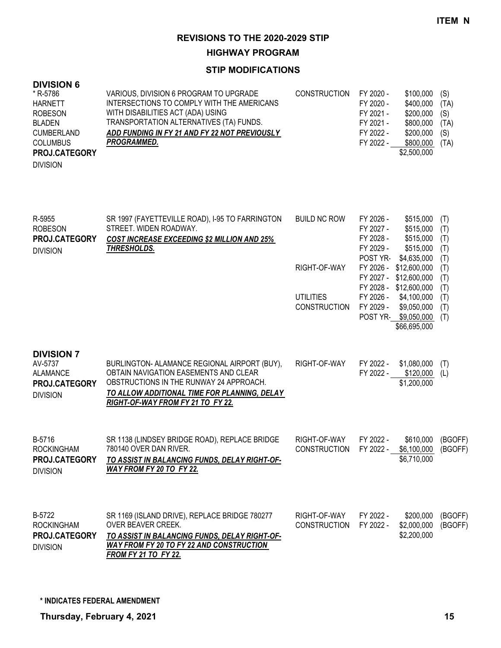#### **HIGHWAY PROGRAM**

#### **STIP MODIFICATIONS**

| <b>DIVISION 6</b>    |                                               |                     |           |             |      |
|----------------------|-----------------------------------------------|---------------------|-----------|-------------|------|
| * R-5786             | VARIOUS, DIVISION 6 PROGRAM TO UPGRADE        | <b>CONSTRUCTION</b> | FY 2020 - | \$100,000   | (S)  |
| <b>HARNETT</b>       | INTERSECTIONS TO COMPLY WITH THE AMERICANS    |                     | FY 2020 - | \$400,000   | (TA) |
| <b>ROBESON</b>       | WITH DISABILITIES ACT (ADA) USING             |                     | FY 2021 - | \$200,000   | (S)  |
| <b>BLADEN</b>        | TRANSPORTATION ALTERNATIVES (TA) FUNDS.       |                     | FY 2021 - | \$800,000   | (TA) |
| <b>CUMBERLAND</b>    | ADD FUNDING IN FY 21 AND FY 22 NOT PREVIOUSLY |                     | FY 2022 - | \$200,000   | (S)  |
| <b>COLUMBUS</b>      | <b>PROGRAMMED.</b>                            |                     | FY 2022 - | \$800,000   | (TA) |
| <b>PROJ.CATEGORY</b> |                                               |                     |           | \$2,500,000 |      |
| <b>DIVISION</b>      |                                               |                     |           |             |      |

| R-5955<br><b>ROBESON</b> | SR 1997 (FAYETTEVILLE ROAD), I-95 TO FARRINGTON<br>STREET. WIDEN ROADWAY. | <b>BUILD NC ROW</b> | FY 2026 -<br>FY 2027 - | \$515,000<br>\$515,000 | (T)<br>(T) |
|--------------------------|---------------------------------------------------------------------------|---------------------|------------------------|------------------------|------------|
| <b>PROJ.CATEGORY</b>     | <b>COST INCREASE EXCEEDING \$2 MILLION AND 25%</b>                        |                     | FY 2028 -              | \$515,000              | (T)        |
| <b>DIVISION</b>          | THRESHOLDS.                                                               |                     | FY 2029 -              | \$515,000              | (T)        |
|                          |                                                                           |                     | POST YR-               | \$4,635,000            | (T)        |
|                          |                                                                           | RIGHT-OF-WAY        | FY 2026 -              | \$12,600,000           | (T)        |
|                          |                                                                           |                     | FY 2027 -              | \$12,600,000           | (T)        |
|                          |                                                                           |                     | FY 2028 -              | \$12,600,000           | (T)        |
|                          |                                                                           | <b>UTILITIES</b>    | FY 2026 -              | \$4,100,000            | (T)        |
|                          |                                                                           | <b>CONSTRUCTION</b> | FY 2029 -              | \$9,050,000            | (T)        |
|                          |                                                                           |                     | POST YR-               | \$9,050,000            | (T)        |
|                          |                                                                           |                     |                        | \$66,695,000           |            |
|                          |                                                                           |                     |                        |                        |            |
| <b>DIVISION 7</b>        |                                                                           |                     |                        |                        |            |
| AV-5737                  | BURLINGTON- ALAMANCE REGIONAL AIRPORT (BUY),                              | RIGHT-OF-WAY        | FY 2022 -              | \$1,080,000            | (T)        |
| <b>ALAMANCE</b>          | OBTAIN NAVIGATION EASEMENTS AND CLEAR                                     |                     | FY 2022 -              | \$120,000              | (L)        |
| PROJ.CATEGORY            | OBSTRUCTIONS IN THE RUNWAY 24 APPROACH.                                   |                     |                        | \$1,200,000            |            |
|                          | TO ALLOW ADDITIONAL TIME FOR PLANNING, DELAY                              |                     |                        |                        |            |
| <b>DIVISION</b>          | RIGHT-OF-WAY FROM FY 21 TO FY 22.                                         |                     |                        |                        |            |
|                          |                                                                           |                     |                        |                        |            |
|                          |                                                                           |                     |                        |                        |            |
|                          |                                                                           |                     |                        |                        |            |

| B-5716               | SR 1138 (LINDSEY BRIDGE ROAD), REPLACE BRIDGE | RIGHT-OF-WAY        | FY 2022 - | \$610,000   | (BGOFF) |
|----------------------|-----------------------------------------------|---------------------|-----------|-------------|---------|
| <b>ROCKINGHAM</b>    | 780140 OVER DAN RIVER.                        | <b>CONSTRUCTION</b> | FY 2022 - | \$6,100,000 | (BGOFF) |
| <b>PROJ.CATEGORY</b> | TO ASSIST IN BALANCING FUNDS, DELAY RIGHT-OF- |                     |           | \$6.710.000 |         |
| <b>DIVISION</b>      | WAY FROM FY 20 TO FY 22.                      |                     |           |             |         |
|                      |                                               |                     |           |             |         |
|                      |                                               |                     |           |             |         |
|                      |                                               |                     |           |             |         |
| B-5722               | SR 1169 (ISLAND DRIVE), REPLACE BRIDGE 780277 | RIGHT-OF-WAY        | FY 2022 - | \$200,000   | (BGOFF) |

OVER BEAVER CREEK. *TO ASSIST IN BALANCING FUNDS, DELAY RIGHT-OF-WAY FROM FY 20 TO FY 22 AND CONSTRUCTION FROM FY 21 TO FY 22.* CONSTRUCTION FY 2022 - \$2,000,000 (BGOFF) ROCKINGHAM DIVISION **PROJ.CATEGORY**

**\* INDICATES FEDERAL AMENDMENT**

\$2,200,000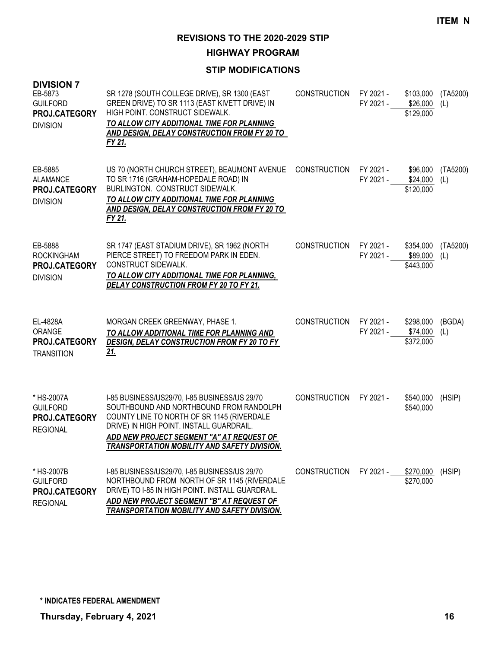**HIGHWAY PROGRAM**

| <b>DIVISION 7</b><br>EB-5873<br><b>GUILFORD</b><br>PROJ.CATEGORY<br><b>DIVISION</b> | SR 1278 (SOUTH COLLEGE DRIVE), SR 1300 (EAST<br>GREEN DRIVE) TO SR 1113 (EAST KIVETT DRIVE) IN<br>HIGH POINT. CONSTRUCT SIDEWALK.<br>TO ALLOW CITY ADDITIONAL TIME FOR PLANNING<br>AND DESIGN, DELAY CONSTRUCTION FROM FY 20 TO<br>FY 21.                                              | <b>CONSTRUCTION</b> | FY 2021 -<br>FY 2021 - | \$103,000<br>\$26,000<br>\$129,000 | (TA5200)<br>(L) |
|-------------------------------------------------------------------------------------|----------------------------------------------------------------------------------------------------------------------------------------------------------------------------------------------------------------------------------------------------------------------------------------|---------------------|------------------------|------------------------------------|-----------------|
| EB-5885<br>ALAMANCE<br>PROJ.CATEGORY<br><b>DIVISION</b>                             | US 70 (NORTH CHURCH STREET), BEAUMONT AVENUE<br>TO SR 1716 (GRAHAM-HOPEDALE ROAD) IN<br>BURLINGTON. CONSTRUCT SIDEWALK.<br>TO ALLOW CITY ADDITIONAL TIME FOR PLANNING<br>AND DESIGN, DELAY CONSTRUCTION FROM FY 20 TO<br>FY 21.                                                        | <b>CONSTRUCTION</b> | FY 2021 -<br>FY 2021 - | \$96,000<br>\$24,000<br>\$120,000  | (TA5200)<br>(L) |
| EB-5888<br><b>ROCKINGHAM</b><br>PROJ.CATEGORY<br><b>DIVISION</b>                    | SR 1747 (EAST STADIUM DRIVE), SR 1962 (NORTH<br>PIERCE STREET) TO FREEDOM PARK IN EDEN.<br>CONSTRUCT SIDEWALK.<br>TO ALLOW CITY ADDITIONAL TIME FOR PLANNING,<br>DELAY CONSTRUCTION FROM FY 20 TO FY 21.                                                                               | <b>CONSTRUCTION</b> | FY 2021 -<br>FY 2021 - | \$354,000<br>\$89,000<br>\$443,000 | (TA5200)<br>(L) |
| EL-4828A<br>ORANGE<br>PROJ.CATEGORY<br><b>TRANSITION</b>                            | MORGAN CREEK GREENWAY, PHASE 1.<br>TO ALLOW ADDITIONAL TIME FOR PLANNING AND<br>DESIGN, DELAY CONSTRUCTION FROM FY 20 TO FY<br><u>21.</u>                                                                                                                                              | <b>CONSTRUCTION</b> | FY 2021 -<br>FY 2021 - | \$298,000<br>\$74,000<br>\$372,000 | (BGDA)<br>(L)   |
| * HS-2007A<br><b>GUILFORD</b><br>PROJ.CATEGORY<br><b>REGIONAL</b>                   | I-85 BUSINESS/US29/70, I-85 BUSINESS/US 29/70<br>SOUTHBOUND AND NORTHBOUND FROM RANDOLPH<br>COUNTY LINE TO NORTH OF SR 1145 (RIVERDALE<br>DRIVE) IN HIGH POINT. INSTALL GUARDRAIL.<br>ADD NEW PROJECT SEGMENT "A" AT REQUEST OF<br><b>TRANSPORTATION MOBILITY AND SAFETY DIVISION.</b> | <b>CONSTRUCTION</b> | FY 2021 -              | \$540,000<br>\$540,000             | (HSIP)          |
| * HS-2007B<br><b>GUILFORD</b><br>PROJ.CATEGORY<br><b>REGIONAL</b>                   | I-85 BUSINESS/US29/70, I-85 BUSINESS/US 29/70<br>NORTHBOUND FROM NORTH OF SR 1145 (RIVERDALE<br>DRIVE) TO I-85 IN HIGH POINT. INSTALL GUARDRAIL.<br>ADD NEW PROJECT SEGMENT "B" AT REQUEST OF<br>TRANSPORTATION MOBILITY AND SAFETY DIVISION.                                          | <b>CONSTRUCTION</b> | FY 2021 -              | \$270,000<br>\$270,000             | (HSIP)          |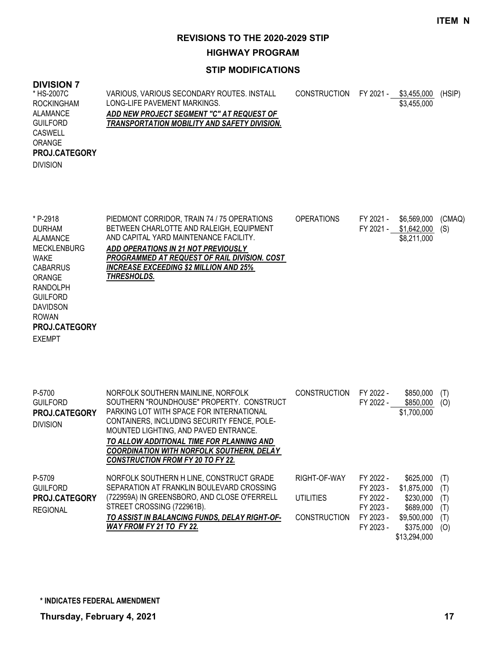**HIGHWAY PROGRAM**

| <b>DIVISION 7</b><br>* HS-2007C<br><b>ROCKINGHAM</b><br><b>ALAMANCE</b><br><b>GUILFORD</b><br><b>CASWELL</b><br>ORANGE<br>PROJ.CATEGORY<br><b>DIVISION</b>                                                                | VARIOUS, VARIOUS SECONDARY ROUTES. INSTALL<br>LONG-LIFE PAVEMENT MARKINGS.<br>ADD NEW PROJECT SEGMENT "C" AT REQUEST OF<br>TRANSPORTATION MOBILITY AND SAFETY DIVISION.                                                                                                                                                                                          | <b>CONSTRUCTION</b>                                     |                                                                            | FY 2021 - \$3,455,000<br>\$3,455,000                                                           | (HSIP)                                 |
|---------------------------------------------------------------------------------------------------------------------------------------------------------------------------------------------------------------------------|------------------------------------------------------------------------------------------------------------------------------------------------------------------------------------------------------------------------------------------------------------------------------------------------------------------------------------------------------------------|---------------------------------------------------------|----------------------------------------------------------------------------|------------------------------------------------------------------------------------------------|----------------------------------------|
| * P-2918<br><b>DURHAM</b><br><b>ALAMANCE</b><br><b>MECKLENBURG</b><br><b>WAKE</b><br><b>CABARRUS</b><br>ORANGE<br><b>RANDOLPH</b><br><b>GUILFORD</b><br><b>DAVIDSON</b><br><b>ROWAN</b><br>PROJ.CATEGORY<br><b>EXEMPT</b> | PIEDMONT CORRIDOR, TRAIN 74 / 75 OPERATIONS<br>BETWEEN CHARLOTTE AND RALEIGH, EQUIPMENT<br>AND CAPITAL YARD MAINTENANCE FACILITY.<br>ADD OPERATIONS IN 21 NOT PREVIOUSLY<br>PROGRAMMED AT REQUEST OF RAIL DIVISION. COST<br><b>INCREASE EXCEEDING \$2 MILLION AND 25%</b><br>THRESHOLDS.                                                                         | <b>OPERATIONS</b>                                       | FY 2021 -<br>FY 2021 -                                                     | \$6,569,000<br>\$1,642,000<br>\$8,211,000                                                      | (CMAQ)<br>(S)                          |
| P-5700<br><b>GUILFORD</b><br>PROJ.CATEGORY<br><b>DIVISION</b>                                                                                                                                                             | NORFOLK SOUTHERN MAINLINE, NORFOLK<br>SOUTHERN "ROUNDHOUSE" PROPERTY. CONSTRUCT<br>PARKING LOT WITH SPACE FOR INTERNATIONAL<br>CONTAINERS, INCLUDING SECURITY FENCE, POLE-<br>MOUNTED LIGHTING, AND PAVED ENTRANCE.<br>TO ALLOW ADDITIONAL TIME FOR PLANNING AND<br><b>COORDINATION WITH NORFOLK SOUTHERN, DELAY</b><br><b>CONSTRUCTION FROM FY 20 TO FY 22.</b> | <b>CONSTRUCTION</b>                                     | FY 2022 -<br>FY 2022 -                                                     | \$850,000<br>\$850,000<br>\$1,700,000                                                          | (T)<br>(O)                             |
| P-5709<br><b>GUILFORD</b><br>PROJ.CATEGORY<br><b>REGIONAL</b>                                                                                                                                                             | NORFOLK SOUTHERN H LINE, CONSTRUCT GRADE<br>SEPARATION AT FRANKLIN BOULEVARD CROSSING<br>(722959A) IN GREENSBORO, AND CLOSE O'FERRELL<br>STREET CROSSING (722961B).<br>TO ASSIST IN BALANCING FUNDS, DELAY RIGHT-OF-<br>WAY FROM FY 21 TO FY 22.                                                                                                                 | RIGHT-OF-WAY<br><b>UTILITIES</b><br><b>CONSTRUCTION</b> | FY 2022 -<br>FY 2023 -<br>FY 2022 -<br>FY 2023 -<br>FY 2023 -<br>FY 2023 - | \$625,000<br>\$1,875,000<br>\$230,000<br>\$689,000<br>\$9,500,000<br>\$375,000<br>\$13,294,000 | (T)<br>(T)<br>(T)<br>(T)<br>(T)<br>(O) |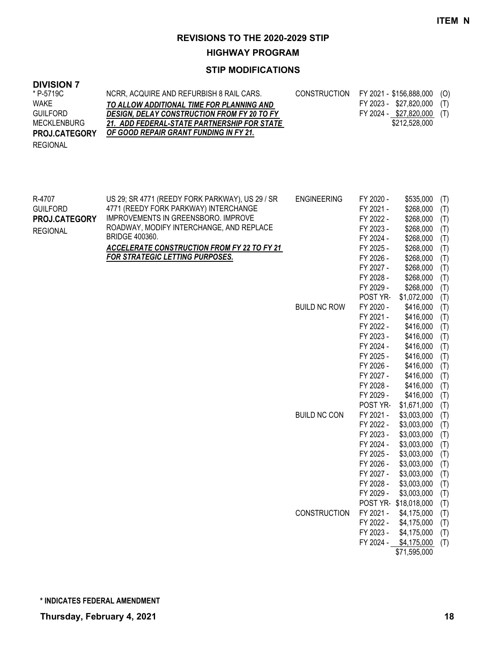# **HIGHWAY PROGRAM**

# **STIP MODIFICATIONS**

## **DIVISION 7**

| * P-5719C            | NCRR, ACQUIRE AND REFURBISH 8 RAIL CARS.           | CONSTRUCTION FY 2021 - \$156,888,000 (O) |  |
|----------------------|----------------------------------------------------|------------------------------------------|--|
| <b>WAKE</b>          | TO ALLOW ADDITIONAL TIME FOR PLANNING AND          | FY 2023 - \$27,820,000 (T)               |  |
| <b>GUILFORD</b>      | <b>DESIGN, DELAY CONSTRUCTION FROM FY 20 TO FY</b> | FY 2024 - \$27,820,000 (T)               |  |
| <b>MECKLENBURG</b>   | 21. ADD FEDERAL-STATE PARTNERSHIP FOR STATE        | \$212.528.000                            |  |
| <b>PROJ.CATEGORY</b> | OF GOOD REPAIR GRANT FUNDING IN FY 21.             |                                          |  |
| <b>REGIONAL</b>      |                                                    |                                          |  |

| R-4707<br><b>GUILFORD</b> | US 29; SR 4771 (REEDY FORK PARKWAY), US 29 / SR<br>4771 (REEDY FORK PARKWAY) INTERCHANGE | <b>ENGINEERING</b>  | FY 2020 -<br>FY 2021 - | \$535,000<br>\$268,000 | (T)<br>(T) |
|---------------------------|------------------------------------------------------------------------------------------|---------------------|------------------------|------------------------|------------|
| PROJ.CATEGORY             | IMPROVEMENTS IN GREENSBORO. IMPROVE                                                      |                     | FY 2022 -              | \$268,000              | (T)        |
| <b>REGIONAL</b>           | ROADWAY, MODIFY INTERCHANGE, AND REPLACE                                                 |                     | FY 2023 -              | \$268,000              | (T)        |
|                           | BRIDGE 400360.                                                                           |                     | FY 2024 -              | \$268,000              | (T)        |
|                           | <b>ACCELERATE CONSTRUCTION FROM FY 22 TO FY 21</b>                                       |                     | FY 2025 -              | \$268,000              | (T)        |
|                           | <b>FOR STRATEGIC LETTING PURPOSES.</b>                                                   |                     | FY 2026 -              | \$268,000              | (T)        |
|                           |                                                                                          |                     | FY 2027 -              | \$268,000              | (T)        |
|                           |                                                                                          |                     | FY 2028 -              | \$268,000              | (T)        |
|                           |                                                                                          |                     | FY 2029 -              | \$268,000              | (T)        |
|                           |                                                                                          |                     | POST YR-               | \$1,072,000            | (T)        |
|                           |                                                                                          | <b>BUILD NC ROW</b> | FY 2020 -              | \$416,000              | (T)        |
|                           |                                                                                          |                     | FY 2021 -              | \$416,000              | (T)        |
|                           |                                                                                          |                     | FY 2022 -              | \$416,000              | (T)        |
|                           |                                                                                          |                     | FY 2023 -              | \$416,000              | (T)        |
|                           |                                                                                          |                     | FY 2024 -              | \$416,000              | (T)        |
|                           |                                                                                          |                     | FY 2025 -              | \$416,000              | (T)        |
|                           |                                                                                          |                     | FY 2026 -              | \$416,000              | (T)        |
|                           |                                                                                          |                     | FY 2027 -              | \$416,000              | (T)        |
|                           |                                                                                          |                     | FY 2028 -              | \$416,000              | (T)        |
|                           |                                                                                          |                     | FY 2029 -              | \$416,000              | (T)        |
|                           |                                                                                          |                     | POST YR-               | \$1,671,000            | (T)        |
|                           |                                                                                          | <b>BUILD NC CON</b> | FY 2021 -              | \$3,003,000            | (T)        |
|                           |                                                                                          |                     | FY 2022 -              | \$3,003,000            | (T)        |
|                           |                                                                                          |                     | FY 2023 -              | \$3,003,000            | (T)        |
|                           |                                                                                          |                     | FY 2024 -              | \$3,003,000            | (T)        |
|                           |                                                                                          |                     | FY 2025 -              | \$3,003,000            | (T)        |
|                           |                                                                                          |                     | FY 2026 -              | \$3,003,000            | (T)        |
|                           |                                                                                          |                     | FY 2027 -              | \$3,003,000            | (T)        |
|                           |                                                                                          |                     | FY 2028 -              | \$3,003,000            | (T)        |
|                           |                                                                                          |                     | FY 2029 -              | \$3,003,000            | (T)        |
|                           |                                                                                          |                     |                        | POST YR-\$18,018,000   | (T)        |
|                           |                                                                                          | <b>CONSTRUCTION</b> | FY 2021 -              | \$4,175,000            | (T)        |
|                           |                                                                                          |                     | FY 2022 -              | \$4,175,000            | (T)        |
|                           |                                                                                          |                     | FY 2023 -              | \$4,175,000            | (T)        |
|                           |                                                                                          |                     | FY 2024 -              | \$4,175,000            | (T)        |
|                           |                                                                                          |                     |                        | \$71,595,000           |            |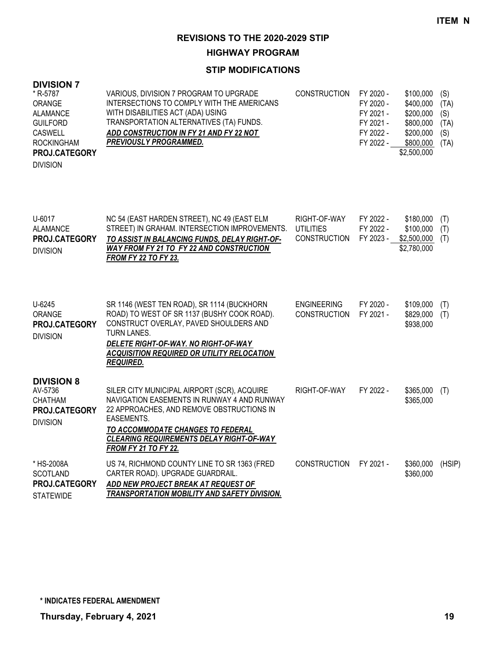**HIGHWAY PROGRAM**

| <b>DIVISION 7</b>    |                                            |                     |           |             |      |
|----------------------|--------------------------------------------|---------------------|-----------|-------------|------|
| * R-5787             | VARIOUS, DIVISION 7 PROGRAM TO UPGRADE     | <b>CONSTRUCTION</b> | FY 2020 - | \$100,000   | (S)  |
| <b>ORANGE</b>        | INTERSECTIONS TO COMPLY WITH THE AMERICANS |                     | FY 2020 - | \$400,000   | (TA) |
| <b>ALAMANCE</b>      | WITH DISABILITIES ACT (ADA) USING          |                     | FY 2021 - | \$200,000   | (S)  |
| <b>GUILFORD</b>      | TRANSPORTATION ALTERNATIVES (TA) FUNDS.    |                     | FY 2021 - | \$800,000   | (TA) |
| CASWELL              | ADD CONSTRUCTION IN FY 21 AND FY 22 NOT    |                     | FY 2022 - | \$200,000   | (S)  |
| <b>ROCKINGHAM</b>    | <b>PREVIOUSLY PROGRAMMED.</b>              |                     | FY 2022 - | \$800,000   | (TA) |
| <b>PROJ.CATEGORY</b> |                                            |                     |           | \$2,500,000 |      |
| <b>DIVISION</b>      |                                            |                     |           |             |      |
|                      |                                            |                     |           |             |      |
|                      |                                            |                     |           |             |      |
|                      |                                            |                     |           |             |      |
|                      |                                            |                     |           |             |      |

| U-6017<br><b>ALAMANCE</b><br><b>PROJ.CATEGORY</b><br><b>DIVISION</b>                      | NC 54 (EAST HARDEN STREET), NC 49 (EAST ELM<br>STREET) IN GRAHAM. INTERSECTION IMPROVEMENTS.<br>TO ASSIST IN BALANCING FUNDS, DELAY RIGHT-OF-<br><b>WAY FROM FY 21 TO FY 22 AND CONSTRUCTION</b><br><b>FROM FY 22 TO FY 23.</b>                                              | RIGHT-OF-WAY<br><b>UTILITIES</b><br><b>CONSTRUCTION</b> | FY 2022 -<br>FY 2022 -<br>FY 2023 - | \$180,000<br>\$100,000<br>\$2,500,000<br>\$2,780,000 | (T)<br>(T)<br>(T) |
|-------------------------------------------------------------------------------------------|------------------------------------------------------------------------------------------------------------------------------------------------------------------------------------------------------------------------------------------------------------------------------|---------------------------------------------------------|-------------------------------------|------------------------------------------------------|-------------------|
| U-6245<br>ORANGE<br><b>PROJ.CATEGORY</b><br><b>DIVISION</b>                               | SR 1146 (WEST TEN ROAD), SR 1114 (BUCKHORN<br>ROAD) TO WEST OF SR 1137 (BUSHY COOK ROAD).<br>CONSTRUCT OVERLAY, PAVED SHOULDERS AND<br><b>TURN LANES.</b><br>DELETE RIGHT-OF-WAY. NO RIGHT-OF-WAY<br><b>ACQUISITION REQUIRED OR UTILITY RELOCATION</b><br><b>REQUIRED.</b>   | <b>ENGINEERING</b><br><b>CONSTRUCTION</b>               | FY 2020 -<br>FY 2021 -              | \$109,000<br>\$829,000<br>\$938,000                  | (T)<br>(T)        |
| <b>DIVISION 8</b><br>AV-5736<br><b>CHATHAM</b><br><b>PROJ.CATEGORY</b><br><b>DIVISION</b> | SILER CITY MUNICIPAL AIRPORT (SCR), ACQUIRE<br>NAVIGATION EASEMENTS IN RUNWAY 4 AND RUNWAY<br>22 APPROACHES, AND REMOVE OBSTRUCTIONS IN<br>EASEMENTS.<br>TO ACCOMMODATE CHANGES TO FEDERAL<br><b>CLEARING REQUIREMENTS DELAY RIGHT-OF-WAY</b><br><b>FROM FY 21 TO FY 22.</b> | RIGHT-OF-WAY                                            | FY 2022 -                           | \$365,000<br>\$365,000                               | (T)               |
| * HS-2008A<br><b>SCOTLAND</b><br>PROJ.CATEGORY<br><b>STATEWIDE</b>                        | US 74, RICHMOND COUNTY LINE TO SR 1363 (FRED<br>CARTER ROAD). UPGRADE GUARDRAIL.<br>ADD NEW PROJECT BREAK AT REQUEST OF<br><b>TRANSPORTATION MOBILITY AND SAFETY DIVISION.</b>                                                                                               | <b>CONSTRUCTION</b>                                     | FY 2021 -                           | \$360,000<br>\$360,000                               | (HSIP)            |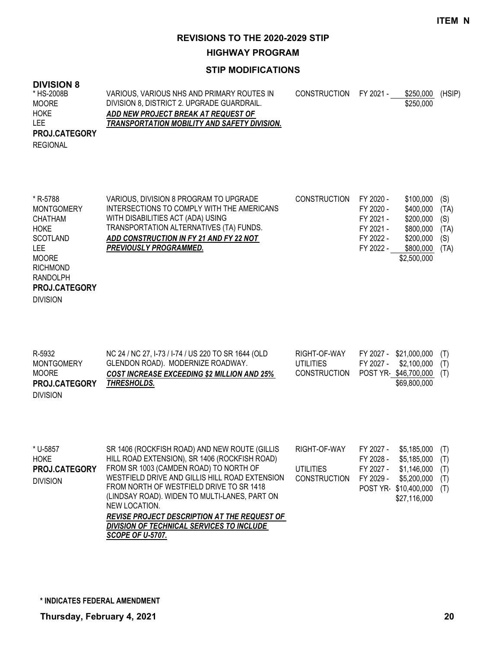#### **HIGHWAY PROGRAM**

### **STIP MODIFICATIONS**

### **DIVISION 8**

DIVISION

| * HS-2008B           | VARIOUS, VARIOUS NHS AND PRIMARY ROUTES IN   | CONSTRUCTION FY 2021 - | \$250.000 | (HSIP) |
|----------------------|----------------------------------------------|------------------------|-----------|--------|
| <b>MOORE</b>         | DIVISION 8, DISTRICT 2. UPGRADE GUARDRAIL.   |                        | \$250,000 |        |
| <b>HOKE</b>          | ADD NEW PROJECT BREAK AT REQUEST OF          |                        |           |        |
| LEE                  | TRANSPORTATION MOBILITY AND SAFETY DIVISION. |                        |           |        |
| <b>PROJ.CATEGORY</b> |                                              |                        |           |        |
| <b>REGIONAL</b>      |                                              |                        |           |        |

| * R-5788          | VARIOUS, DIVISION 8 PROGRAM TO UPGRADE     | <b>CONSTRUCTION</b> | FY 2020 - | \$100,000   | (S)  |
|-------------------|--------------------------------------------|---------------------|-----------|-------------|------|
| <b>MONTGOMERY</b> | INTERSECTIONS TO COMPLY WITH THE AMERICANS |                     | FY 2020 - | \$400,000   | (TA) |
| CHATHAM           | WITH DISABILITIES ACT (ADA) USING          |                     | FY 2021 - | \$200,000   | (S)  |
| <b>HOKE</b>       | TRANSPORTATION ALTERNATIVES (TA) FUNDS.    |                     | FY 2021 - | \$800,000   | (TA) |
| SCOTLAND          | ADD CONSTRUCTION IN FY 21 AND FY 22 NOT    |                     | FY 2022 - | \$200,000   | (S)  |
| LEE.              | <b>PREVIOUSLY PROGRAMMED.</b>              |                     | FY 2022 - | \$800,000   | (TA) |
| <b>MOORE</b>      |                                            |                     |           | \$2,500,000 |      |
| <b>RICHMOND</b>   |                                            |                     |           |             |      |
| RANDOLPH          |                                            |                     |           |             |      |
| PROJ.CATEGORY     |                                            |                     |           |             |      |

| R-5932<br><b>MONTGOMERY</b>   | NC 24 / NC 27, I-73 / I-74 / US 220 TO SR 1644 (OLD<br>GLENDON ROAD). MODERNIZE ROADWAY. | RIGHT-OF-WAY<br>UTILITIES | FY 2027 - \$21,000,000 (T)<br>FY 2027 - \$2,100,000 (T) |  |
|-------------------------------|------------------------------------------------------------------------------------------|---------------------------|---------------------------------------------------------|--|
| MOORE<br><b>PROJ.CATEGORY</b> | <b>COST INCREASE EXCEEDING \$2 MILLION AND 25%</b><br>THRESHOLDS.                        | CONSTRUCTION              | POST YR-\$46,700,000 (T)<br>\$69,800,000                |  |
| <b>DIVISION</b>               |                                                                                          |                           |                                                         |  |

| * U-5857             | SR 1406 (ROCKFISH ROAD) AND NEW ROUTE (GILLIS       | RIGHT-OF-WAY           | FY 2027 - | \$5.185.000          | (T) |
|----------------------|-----------------------------------------------------|------------------------|-----------|----------------------|-----|
| <b>HOKE</b>          | HILL ROAD EXTENSION), SR 1406 (ROCKFISH ROAD)       |                        | FY 2028 - | \$5,185,000          | (T) |
| <b>PROJ.CATEGORY</b> | FROM SR 1003 (CAMDEN ROAD) TO NORTH OF              | UTILITIES              | FY 2027 - | \$1,146,000          | (T) |
| <b>DIVISION</b>      | WESTFIELD DRIVE AND GILLIS HILL ROAD EXTENSION      | CONSTRUCTION FY 2029 - |           | \$5,200,000          | (T) |
|                      | FROM NORTH OF WESTFIELD DRIVE TO SR 1418            |                        |           | POST YR \$10,400,000 | (T) |
|                      | (LINDSAY ROAD). WIDEN TO MULTI-LANES, PART ON       |                        |           | \$27,116,000         |     |
|                      | NEW LOCATION.                                       |                        |           |                      |     |
|                      | <b>REVISE PROJECT DESCRIPTION AT THE REQUEST OF</b> |                        |           |                      |     |
|                      | DIVISION OF TECHNICAL SERVICES TO INCLUDE           |                        |           |                      |     |
|                      | <b>SCOPE OF U-5707.</b>                             |                        |           |                      |     |

**\* INDICATES FEDERAL AMENDMENT**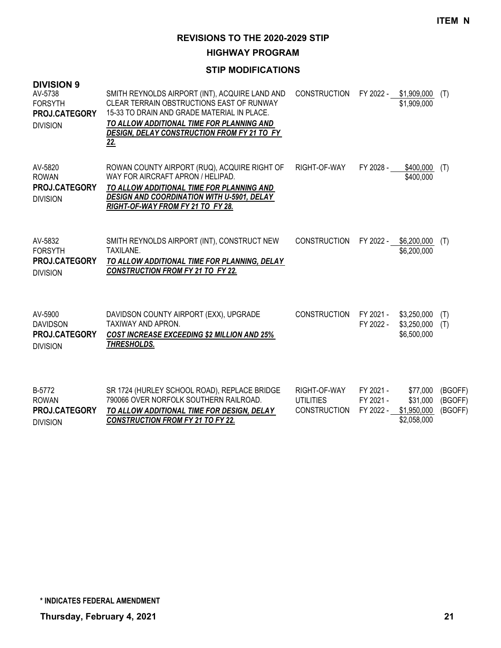**HIGHWAY PROGRAM**

| <b>DIVISION 9</b><br>AV-5738<br><b>FORSYTH</b><br>PROJ.CATEGORY<br><b>DIVISION</b> | SMITH REYNOLDS AIRPORT (INT), ACQUIRE LAND AND<br>CLEAR TERRAIN OBSTRUCTIONS EAST OF RUNWAY<br>15-33 TO DRAIN AND GRADE MATERIAL IN PLACE.<br>TO ALLOW ADDITIONAL TIME FOR PLANNING AND<br>DESIGN, DELAY CONSTRUCTION FROM FY 21 TO FY<br><u>22.</u> | <b>CONSTRUCTION</b>                                     | FY 2022 -                           | \$1,909,000<br>\$1,909,000                         | (T)                           |
|------------------------------------------------------------------------------------|------------------------------------------------------------------------------------------------------------------------------------------------------------------------------------------------------------------------------------------------------|---------------------------------------------------------|-------------------------------------|----------------------------------------------------|-------------------------------|
| AV-5820<br><b>ROWAN</b><br><b>PROJ.CATEGORY</b><br><b>DIVISION</b>                 | ROWAN COUNTY AIRPORT (RUQ), ACQUIRE RIGHT OF<br>WAY FOR AIRCRAFT APRON / HELIPAD.<br>TO ALLOW ADDITIONAL TIME FOR PLANNING AND<br><b>DESIGN AND COORDINATION WITH U-5901, DELAY</b><br>RIGHT-OF-WAY FROM FY 21 TO FY 28.                             | RIGHT-OF-WAY                                            | FY 2028 -                           | \$400,000<br>\$400,000                             | (T)                           |
| AV-5832<br><b>FORSYTH</b><br>PROJ.CATEGORY<br><b>DIVISION</b>                      | SMITH REYNOLDS AIRPORT (INT), CONSTRUCT NEW<br>TAXILANE.<br>TO ALLOW ADDITIONAL TIME FOR PLANNING, DELAY<br><b>CONSTRUCTION FROM FY 21 TO FY 22.</b>                                                                                                 | <b>CONSTRUCTION</b>                                     | FY 2022 -                           | \$6,200,000<br>\$6,200,000                         | (T)                           |
| AV-5900<br><b>DAVIDSON</b><br>PROJ.CATEGORY<br><b>DIVISION</b>                     | DAVIDSON COUNTY AIRPORT (EXX), UPGRADE<br><b>TAXIWAY AND APRON.</b><br><b>COST INCREASE EXCEEDING \$2 MILLION AND 25%</b><br>THRESHOLDS.                                                                                                             | <b>CONSTRUCTION</b>                                     | FY 2021 -<br>FY 2022 -              | \$3,250,000<br>\$3,250,000<br>\$6,500,000          | (T)<br>(T)                    |
| B-5772<br><b>ROWAN</b><br><b>PROJ.CATEGORY</b><br><b>DIVISION</b>                  | SR 1724 (HURLEY SCHOOL ROAD), REPLACE BRIDGE<br>790066 OVER NORFOLK SOUTHERN RAILROAD.<br>TO ALLOW ADDITIONAL TIME FOR DESIGN, DELAY<br><b>CONSTRUCTION FROM FY 21 TO FY 22.</b>                                                                     | RIGHT-OF-WAY<br><b>UTILITIES</b><br><b>CONSTRUCTION</b> | FY 2021 -<br>FY 2021 -<br>FY 2022 - | \$77,000<br>\$31,000<br>\$1,950,000<br>\$2,058,000 | (BGOFF)<br>(BGOFF)<br>(BGOFF) |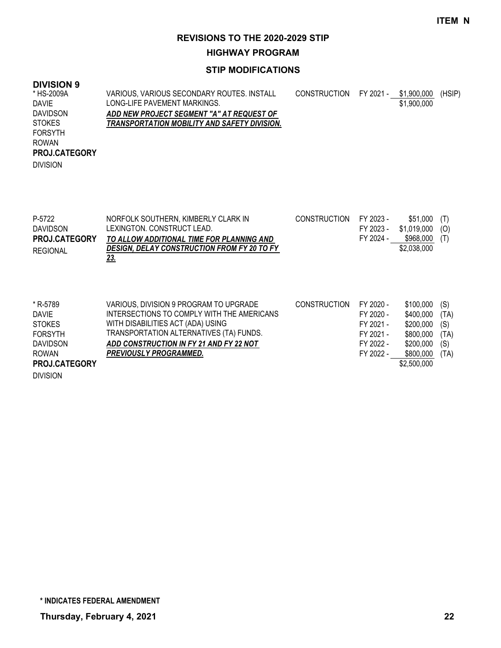**HIGHWAY PROGRAM**

### **STIP MODIFICATIONS**

# **DIVISION 9**

| * HS-2009A      | VARIOUS, VARIOUS SECONDARY ROUTES. INSTALL   | CONSTRUCTION FY 2021 - \$1,900,000 |             | (HSIP) |
|-----------------|----------------------------------------------|------------------------------------|-------------|--------|
| DAVIE           | LONG-LIFE PAVEMENT MARKINGS.                 |                                    | \$1,900,000 |        |
| <b>DAVIDSON</b> | ADD NEW PROJECT SEGMENT "A" AT REQUEST OF    |                                    |             |        |
| <b>STOKES</b>   | TRANSPORTATION MOBILITY AND SAFETY DIVISION. |                                    |             |        |
| <b>FORSYTH</b>  |                                              |                                    |             |        |
| <b>ROWAN</b>    |                                              |                                    |             |        |
| PROJ.CATEGORY   |                                              |                                    |             |        |
| <b>DIVISION</b> |                                              |                                    |             |        |
|                 |                                              |                                    |             |        |

| P-5722               | NORFOLK SOUTHERN, KIMBERLY CLARK IN                | <b>CONSTRUCTION</b> | FY 2023 - | \$51.000         | (T) |
|----------------------|----------------------------------------------------|---------------------|-----------|------------------|-----|
| <b>DAVIDSON</b>      | LEXINGTON, CONSTRUCT LEAD.                         |                     | FY 2023 - | $$1,019,000$ (O) |     |
| <b>PROJ.CATEGORY</b> | TO ALLOW ADDITIONAL TIME FOR PLANNING AND          |                     | FY 2024 - | \$968.000        | (T) |
| <b>REGIONAL</b>      | <b>DESIGN, DELAY CONSTRUCTION FROM FY 20 TO FY</b> |                     |           | \$2,038,000      |     |
|                      | <u>23.</u>                                         |                     |           |                  |     |

| * R-5789             | VARIOUS, DIVISION 9 PROGRAM TO UPGRADE     | <b>CONSTRUCTION</b> | FY 2020 - | \$100,000   | (S)  |
|----------------------|--------------------------------------------|---------------------|-----------|-------------|------|
| <b>DAVIE</b>         | INTERSECTIONS TO COMPLY WITH THE AMERICANS |                     | FY 2020 - | \$400,000   | (TA) |
| <b>STOKES</b>        | WITH DISABILITIES ACT (ADA) USING          |                     | FY 2021 - | \$200,000   | (S)  |
| <b>FORSYTH</b>       | TRANSPORTATION ALTERNATIVES (TA) FUNDS.    |                     | FY 2021 - | \$800,000   | (TA) |
| <b>DAVIDSON</b>      | ADD CONSTRUCTION IN FY 21 AND FY 22 NOT    |                     | FY 2022 - | \$200,000   | (S)  |
| <b>ROWAN</b>         | <b>PREVIOUSLY PROGRAMMED.</b>              |                     | FY 2022 - | \$800,000   | (TA) |
| <b>PROJ.CATEGORY</b> |                                            |                     |           | \$2,500,000 |      |
| <b>DIVISION</b>      |                                            |                     |           |             |      |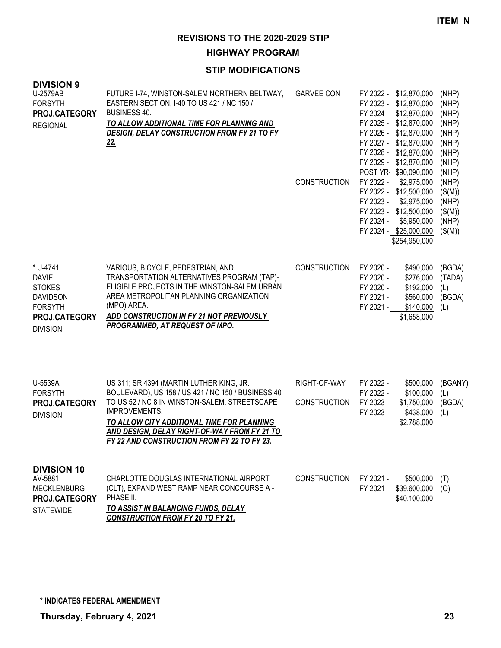# **HIGHWAY PROGRAM**

| <b>DIVISION 9</b><br>U-2579AB<br><b>FORSYTH</b><br>PROJ.CATEGORY<br><b>REGIONAL</b>                                | FUTURE I-74, WINSTON-SALEM NORTHERN BELTWAY,<br>EASTERN SECTION, I-40 TO US 421 / NC 150 /<br><b>BUSINESS 40.</b><br>TO ALLOW ADDITIONAL TIME FOR PLANNING AND<br>DESIGN, DELAY CONSTRUCTION FROM FY 21 TO FY<br><u>22.</u>                                                                                          | <b>GARVEE CON</b><br><b>CONSTRUCTION</b> | FY 2022 - \$12,870,000<br>FY 2023 -<br>\$12,870,000<br>FY 2024 - \$12,870,000<br>FY 2025 - \$12,870,000<br>FY 2026 -<br>\$12,870,000<br>FY 2027 - \$12,870,000<br>FY 2028 -<br>\$12,870,000<br>FY 2029 - \$12,870,000<br>POST YR-\$90,090,000<br>FY 2022 -<br>\$2,975,000<br>FY 2022 - \$12,500,000<br>FY 2023 -<br>\$2,975,000<br>FY 2023 - \$12,500,000<br>\$5,950,000<br>FY 2024 -<br>FY 2024 - \$25,000,000<br>\$254,950,000 | (NHP)<br>(NHP)<br>(NHP)<br>(NHP)<br>(NHP)<br>(NHP)<br>(NHP)<br>(NHP)<br>(NHP)<br>(NHP)<br>(S(M))<br>(NHP)<br>(S(M))<br>(NHP)<br>(S(M)) |
|--------------------------------------------------------------------------------------------------------------------|----------------------------------------------------------------------------------------------------------------------------------------------------------------------------------------------------------------------------------------------------------------------------------------------------------------------|------------------------------------------|----------------------------------------------------------------------------------------------------------------------------------------------------------------------------------------------------------------------------------------------------------------------------------------------------------------------------------------------------------------------------------------------------------------------------------|----------------------------------------------------------------------------------------------------------------------------------------|
| * U-4741<br><b>DAVIE</b><br><b>STOKES</b><br><b>DAVIDSON</b><br><b>FORSYTH</b><br>PROJ.CATEGORY<br><b>DIVISION</b> | VARIOUS, BICYCLE, PEDESTRIAN, AND<br>TRANSPORTATION ALTERNATIVES PROGRAM (TAP)-<br>ELIGIBLE PROJECTS IN THE WINSTON-SALEM URBAN<br>AREA METROPOLITAN PLANNING ORGANIZATION<br>(MPO) AREA.<br>ADD CONSTRUCTION IN FY 21 NOT PREVIOUSLY<br>PROGRAMMED, AT REQUEST OF MPO.                                              | <b>CONSTRUCTION</b>                      | FY 2020 -<br>\$490,000<br>FY 2020 -<br>\$276,000<br>\$192,000<br>FY 2020 -<br>FY 2021 -<br>\$560,000<br>FY 2021 -<br>\$140,000<br>\$1,658,000                                                                                                                                                                                                                                                                                    | (BGDA)<br>(TADA)<br>(L)<br>(BGDA)<br>(L)                                                                                               |
| U-5539A<br><b>FORSYTH</b><br>PROJ.CATEGORY<br><b>DIVISION</b>                                                      | US 311; SR 4394 (MARTIN LUTHER KING, JR.<br>BOULEVARD), US 158 / US 421 / NC 150 / BUSINESS 40<br>TO US 52 / NC 8 IN WINSTON-SALEM. STREETSCAPE<br><b>IMPROVEMENTS.</b><br>TO ALLOW CITY ADDITIONAL TIME FOR PLANNING<br>AND DESIGN, DELAY RIGHT-OF-WAY FROM FY 21 TO<br>FY 22 AND CONSTRUCTION FROM FY 22 TO FY 23. | RIGHT-OF-WAY<br><b>CONSTRUCTION</b>      | FY 2022 -<br>\$500,000<br>FY 2022 -<br>\$100,000<br>FY 2023 -<br>\$1,750,000<br>FY 2023 -<br>\$438,000<br>\$2,788,000                                                                                                                                                                                                                                                                                                            | (BGANY)<br>(L)<br>(BGDA)<br>(L)                                                                                                        |
| <b>DIVISION 10</b><br>AV-5881<br><b>MECKLENBURG</b><br>PROJ.CATEGORY<br><b>STATEWIDE</b>                           | CHARLOTTE DOUGLAS INTERNATIONAL AIRPORT<br>(CLT), EXPAND WEST RAMP NEAR CONCOURSE A -<br>PHASE II.<br><b>TO ASSIST IN BALANCING FUNDS, DELAY</b><br><b>CONSTRUCTION FROM FY 20 TO FY 21.</b>                                                                                                                         | <b>CONSTRUCTION</b>                      | FY 2021 -<br>\$500,000<br>FY 2021 - \$39,600,000<br>\$40,100,000                                                                                                                                                                                                                                                                                                                                                                 | (T)<br>(O)                                                                                                                             |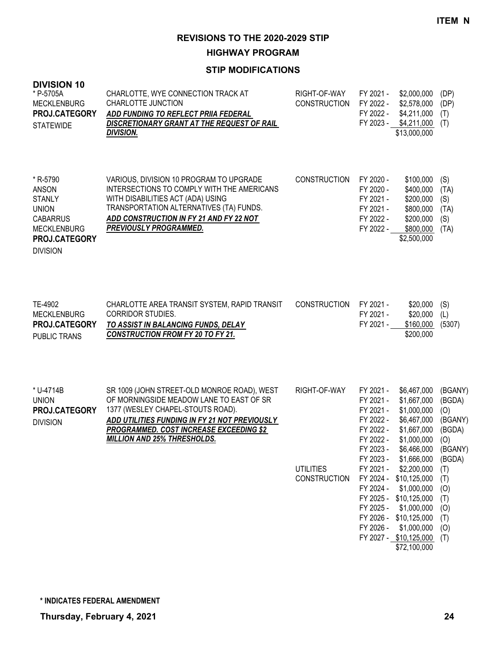**HIGHWAY PROGRAM**

| <b>DIVISION 10</b><br>* P-5705A<br><b>MECKLENBURG</b><br>PROJ.CATEGORY<br><b>STATEWIDE</b>                                             | CHARLOTTE, WYE CONNECTION TRACK AT<br><b>CHARLOTTE JUNCTION</b><br>ADD FUNDING TO REFLECT PRIIA FEDERAL<br>DISCRETIONARY GRANT AT THE REQUEST OF RAIL<br><b>DIVISION.</b>                                                                                      | RIGHT-OF-WAY<br><b>CONSTRUCTION</b>                     | FY 2021 -<br>FY 2022 -<br>FY 2022 -                                                                                                                      | \$2,000,000<br>\$2,578,000<br>\$4,211,000<br>FY 2023 - \$4,211,000<br>\$13,000,000                                                                                                                                                                                                                       | (DP)<br>(DP)<br>(T)<br>(T)                                                                                                        |
|----------------------------------------------------------------------------------------------------------------------------------------|----------------------------------------------------------------------------------------------------------------------------------------------------------------------------------------------------------------------------------------------------------------|---------------------------------------------------------|----------------------------------------------------------------------------------------------------------------------------------------------------------|----------------------------------------------------------------------------------------------------------------------------------------------------------------------------------------------------------------------------------------------------------------------------------------------------------|-----------------------------------------------------------------------------------------------------------------------------------|
| * R-5790<br><b>ANSON</b><br><b>STANLY</b><br><b>UNION</b><br><b>CABARRUS</b><br><b>MECKLENBURG</b><br>PROJ.CATEGORY<br><b>DIVISION</b> | VARIOUS, DIVISION 10 PROGRAM TO UPGRADE<br>INTERSECTIONS TO COMPLY WITH THE AMERICANS<br>WITH DISABILITIES ACT (ADA) USING<br>TRANSPORTATION ALTERNATIVES (TA) FUNDS.<br>ADD CONSTRUCTION IN FY 21 AND FY 22 NOT<br><b>PREVIOUSLY PROGRAMMED.</b>              | <b>CONSTRUCTION</b>                                     | FY 2020 -<br>FY 2020 -<br>FY 2021 -<br>FY 2021 -<br>FY 2022 -<br>FY 2022 -                                                                               | \$100,000<br>\$400,000<br>\$200,000<br>\$800,000<br>\$200,000<br>\$800,000<br>\$2,500,000                                                                                                                                                                                                                | (S)<br>(TA)<br>(S)<br>(TA)<br>(S)<br>(TA)                                                                                         |
| TE-4902<br><b>MECKLENBURG</b><br>PROJ.CATEGORY<br>PUBLIC TRANS                                                                         | CHARLOTTE AREA TRANSIT SYSTEM, RAPID TRANSIT<br><b>CORRIDOR STUDIES.</b><br>TO ASSIST IN BALANCING FUNDS, DELAY<br><b>CONSTRUCTION FROM FY 20 TO FY 21.</b>                                                                                                    | CONSTRUCTION                                            | FY 2021 -<br>FY 2021 -<br>FY 2021 -                                                                                                                      | \$20,000<br>\$20,000<br>\$160,000<br>\$200,000                                                                                                                                                                                                                                                           | (S)<br>(L)<br>(5307)                                                                                                              |
| * U-4714B<br><b>UNION</b><br>PROJ.CATEGORY<br><b>DIVISION</b>                                                                          | SR 1009 (JOHN STREET-OLD MONROE ROAD), WEST<br>OF MORNINGSIDE MEADOW LANE TO EAST OF SR<br>1377 (WESLEY CHAPEL-STOUTS ROAD).<br>ADD UTILITIES FUNDING IN FY 21 NOT PREVIOUSLY<br>PROGRAMMED. COST INCREASE EXCEEDING \$2<br><b>MILLION AND 25% THRESHOLDS.</b> | RIGHT-OF-WAY<br><b>UTILITIES</b><br><b>CONSTRUCTION</b> | FY 2021 -<br>FY 2021 -<br>FY 2021 -<br>FY 2022 -<br>FY 2022 -<br>FY 2022 -<br>FY 2023 -<br>FY 2023 -<br>FY 2021 -<br>FY 2024 -<br>FY 2025 -<br>FY 2026 - | \$6,467,000<br>\$1,667,000<br>\$1,000,000<br>\$6,467,000<br>\$1,667,000<br>\$1,000,000<br>\$6,466,000<br>\$1,666,000<br>\$2,200,000<br>FY 2024 - \$10,125,000<br>\$1,000,000<br>FY 2025 - \$10,125,000<br>\$1,000,000<br>FY 2026 - \$10,125,000<br>\$1,000,000<br>FY 2027 - \$10,125,000<br>\$72,100,000 | (BGANY)<br>(BGDA)<br>(O)<br>(BGANY)<br>(BGDA)<br>(O)<br>(BGANY)<br>(BGDA)<br>(T)<br>(T)<br>(0)<br>(T)<br>(0)<br>(T)<br>(0)<br>(T) |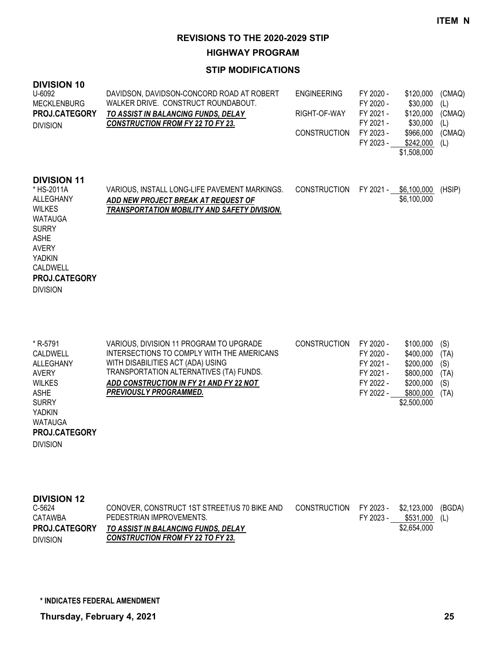**HIGHWAY PROGRAM**

### **STIP MODIFICATIONS**

| <b>DIVISION 10</b><br>U-6092<br><b>MECKLENBURG</b><br><b>PROJ.CATEGORY</b><br><b>DIVISION</b>                                                                                                           | DAVIDSON, DAVIDSON-CONCORD ROAD AT ROBERT<br>WALKER DRIVE. CONSTRUCT ROUNDABOUT.<br>TO ASSIST IN BALANCING FUNDS, DELAY<br><b>CONSTRUCTION FROM FY 22 TO FY 23.</b> | <b>ENGINEERING</b><br>RIGHT-OF-WAY<br><b>CONSTRUCTION</b> | FY 2020 -<br>FY 2020 -<br>FY 2021 -<br>FY 2021 -<br>FY 2023 -<br>FY 2023 - | \$120,000<br>\$30,000<br>\$120,000<br>\$30,000<br>\$966,000<br>\$242,000<br>\$1,508,000 | (CMAQ)<br>(L)<br>(CMAQ)<br>(L)<br>(CMAQ)<br>(L) |
|---------------------------------------------------------------------------------------------------------------------------------------------------------------------------------------------------------|---------------------------------------------------------------------------------------------------------------------------------------------------------------------|-----------------------------------------------------------|----------------------------------------------------------------------------|-----------------------------------------------------------------------------------------|-------------------------------------------------|
| <b>DIVISION 11</b><br>* HS-2011A<br>ALLEGHANY<br><b>WILKES</b><br><b>WATAUGA</b><br><b>SURRY</b><br><b>ASHE</b><br><b>AVERY</b><br><b>YADKIN</b><br>CALDWELL<br><b>PROJ.CATEGORY</b><br><b>DIVISION</b> | VARIOUS, INSTALL LONG-LIFE PAVEMENT MARKINGS.<br>ADD NEW PROJECT BREAK AT REQUEST OF<br>TRANSPORTATION MOBILITY AND SAFETY DIVISION.                                | <b>CONSTRUCTION</b>                                       | FY 2021 -                                                                  | \$6,100,000<br>\$6,100,000                                                              | (HSIP)                                          |

| * R-5791      | VARIOUS, DIVISION 11 PROGRAM TO UPGRADE    | <b>CONSTRUCTION</b> | FY 2020 - | \$100,000   | (S)  |
|---------------|--------------------------------------------|---------------------|-----------|-------------|------|
| CALDWELL      | INTERSECTIONS TO COMPLY WITH THE AMERICANS |                     | FY 2020 - | \$400,000   | (TA) |
| ALLEGHANY     | WITH DISABILITIES ACT (ADA) USING          |                     | FY 2021 - | \$200,000   | (S)  |
| AVERY         | TRANSPORTATION ALTERNATIVES (TA) FUNDS.    |                     | FY 2021 - | \$800.000   | (TA) |
| <b>WILKES</b> | ADD CONSTRUCTION IN FY 21 AND FY 22 NOT    |                     | FY 2022 - | \$200.000   | (S)  |
| <b>ASHE</b>   | <b>PREVIOUSLY PROGRAMMED.</b>              |                     | FY 2022 - | \$800,000   | (TA) |
| <b>SURRY</b>  |                                            |                     |           | \$2,500,000 |      |
| YADKIN        |                                            |                     |           |             |      |
| WATAUGA       |                                            |                     |           |             |      |

**PROJ.CATEGORY**

DIVISION

| <b>DIVISION 12</b>   |                                              |              |           |                |        |
|----------------------|----------------------------------------------|--------------|-----------|----------------|--------|
| C-5624               | CONOVER, CONSTRUCT 1ST STREET/US 70 BIKE AND | CONSTRUCTION | FY 2023 - | \$2.123.000    | (BGDA) |
| CATAWBA              | PEDESTRIAN IMPROVEMENTS.                     |              | FY 2023 - | $$531.000$ (L) |        |
| <b>PROJ.CATEGORY</b> | TO ASSIST IN BALANCING FUNDS, DELAY          |              |           | \$2,654,000    |        |
| <b>DIVISION</b>      | <b>CONSTRUCTION FROM FY 22 TO FY 23.</b>     |              |           |                |        |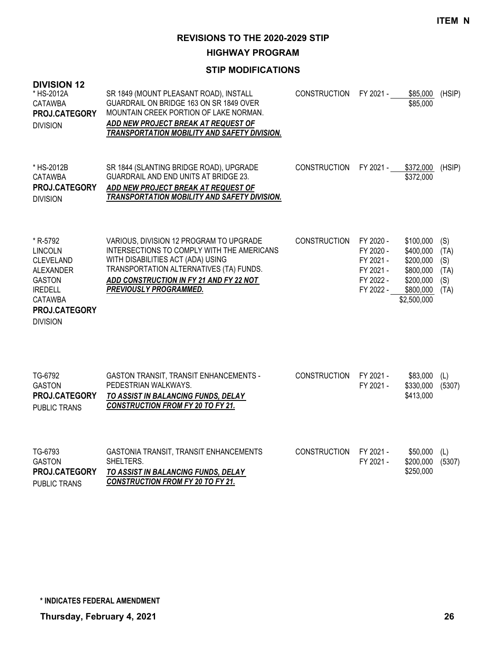**HIGHWAY PROGRAM**

| <b>DIVISION 12</b><br>* HS-2012A<br><b>CATAWBA</b><br>PROJ.CATEGORY<br><b>DIVISION</b>                                                                      | SR 1849 (MOUNT PLEASANT ROAD), INSTALL<br>GUARDRAIL ON BRIDGE 163 ON SR 1849 OVER<br>MOUNTAIN CREEK PORTION OF LAKE NORMAN.<br>ADD NEW PROJECT BREAK AT REQUEST OF<br>TRANSPORTATION MOBILITY AND SAFETY DIVISION.                         | <b>CONSTRUCTION</b> | FY 2021 -                                                                  | \$85,000<br>\$85,000                                                                      | (HSIP)                                    |
|-------------------------------------------------------------------------------------------------------------------------------------------------------------|--------------------------------------------------------------------------------------------------------------------------------------------------------------------------------------------------------------------------------------------|---------------------|----------------------------------------------------------------------------|-------------------------------------------------------------------------------------------|-------------------------------------------|
| * HS-2012B<br><b>CATAWBA</b><br>PROJ.CATEGORY<br><b>DIVISION</b>                                                                                            | SR 1844 (SLANTING BRIDGE ROAD), UPGRADE<br><b>GUARDRAIL AND END UNITS AT BRIDGE 23.</b><br>ADD NEW PROJECT BREAK AT REQUEST OF<br><b>TRANSPORTATION MOBILITY AND SAFETY DIVISION.</b>                                                      | <b>CONSTRUCTION</b> | FY 2021 -                                                                  | \$372,000<br>\$372,000                                                                    | (HSIP)                                    |
| * R-5792<br><b>LINCOLN</b><br><b>CLEVELAND</b><br><b>ALEXANDER</b><br><b>GASTON</b><br><b>IREDELL</b><br><b>CATAWBA</b><br>PROJ.CATEGORY<br><b>DIVISION</b> | VARIOUS, DIVISION 12 PROGRAM TO UPGRADE<br>INTERSECTIONS TO COMPLY WITH THE AMERICANS<br>WITH DISABILITIES ACT (ADA) USING<br>TRANSPORTATION ALTERNATIVES (TA) FUNDS.<br>ADD CONSTRUCTION IN FY 21 AND FY 22 NOT<br>PREVIOUSLY PROGRAMMED. | <b>CONSTRUCTION</b> | FY 2020 -<br>FY 2020 -<br>FY 2021 -<br>FY 2021 -<br>FY 2022 -<br>FY 2022 - | \$100,000<br>\$400,000<br>\$200,000<br>\$800,000<br>\$200,000<br>\$800,000<br>\$2,500,000 | (S)<br>(TA)<br>(S)<br>(TA)<br>(S)<br>(TA) |
| TG-6792<br><b>GASTON</b><br>PROJ.CATEGORY<br><b>PUBLIC TRANS</b>                                                                                            | GASTON TRANSIT, TRANSIT ENHANCEMENTS -<br>PEDESTRIAN WALKWAYS.<br>TO ASSIST IN BALANCING FUNDS, DELAY<br><b>CONSTRUCTION FROM FY 20 TO FY 21.</b>                                                                                          | <b>CONSTRUCTION</b> | FY 2021 -<br>FY 2021 -                                                     | \$83,000<br>\$330,000<br>\$413,000                                                        | (L)<br>(5307)                             |
| TG-6793<br><b>GASTON</b><br>PROJ.CATEGORY<br><b>PUBLIC TRANS</b>                                                                                            | GASTONIA TRANSIT, TRANSIT ENHANCEMENTS<br>SHELTERS.<br>TO ASSIST IN BALANCING FUNDS, DELAY<br><b>CONSTRUCTION FROM FY 20 TO FY 21.</b>                                                                                                     | <b>CONSTRUCTION</b> | FY 2021 -<br>FY 2021 -                                                     | \$50,000<br>\$200,000<br>\$250,000                                                        | (L)<br>(5307)                             |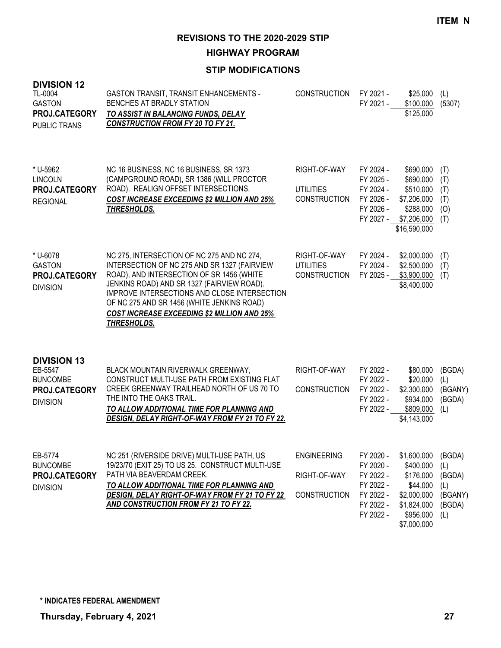**HIGHWAY PROGRAM**

| <b>DIVISION 12</b><br>TL-0004<br><b>GASTON</b><br>PROJ.CATEGORY<br><b>PUBLIC TRANS</b> | GASTON TRANSIT, TRANSIT ENHANCEMENTS -<br>BENCHES AT BRADLY STATION<br>TO ASSIST IN BALANCING FUNDS, DELAY<br><b>CONSTRUCTION FROM FY 20 TO FY 21.</b>                                                                                                                                                                                                   | <b>CONSTRUCTION</b>                                       | FY 2021 -<br>FY 2021 -                                                                  | \$25,000<br>\$100,000<br>\$125,000                                                                          | (L)<br>(5307)                                              |
|----------------------------------------------------------------------------------------|----------------------------------------------------------------------------------------------------------------------------------------------------------------------------------------------------------------------------------------------------------------------------------------------------------------------------------------------------------|-----------------------------------------------------------|-----------------------------------------------------------------------------------------|-------------------------------------------------------------------------------------------------------------|------------------------------------------------------------|
| * U-5962<br><b>LINCOLN</b><br>PROJ.CATEGORY<br><b>REGIONAL</b>                         | NC 16 BUSINESS, NC 16 BUSINESS, SR 1373<br>(CAMPGROUND ROAD), SR 1386 (WILL PROCTOR<br>ROAD). REALIGN OFFSET INTERSECTIONS.<br><b>COST INCREASE EXCEEDING \$2 MILLION AND 25%</b><br>THRESHOLDS.                                                                                                                                                         | RIGHT-OF-WAY<br><b>UTILITIES</b><br><b>CONSTRUCTION</b>   | FY 2024 -<br>FY 2025 -<br>FY 2024 -<br>FY 2026 -<br>FY 2026 -<br>FY 2027 -              | \$690,000<br>\$690,000<br>\$510,000<br>\$7,206,000<br>\$288,000<br>\$7,206,000<br>\$16,590,000              | (T)<br>(T)<br>(T)<br>(T)<br>(O)<br>(T)                     |
| * U-6078<br><b>GASTON</b><br>PROJ.CATEGORY<br><b>DIVISION</b>                          | NC 275, INTERSECTION OF NC 275 AND NC 274,<br>INTERSECTION OF NC 275 AND SR 1327 (FAIRVIEW<br>ROAD), AND INTERSECTION OF SR 1456 (WHITE<br>JENKINS ROAD) AND SR 1327 (FAIRVIEW ROAD).<br>IMPROVE INTERSECTIONS AND CLOSE INTERSECTION<br>OF NC 275 AND SR 1456 (WHITE JENKINS ROAD)<br><b>COST INCREASE EXCEEDING \$2 MILLION AND 25%</b><br>THRESHOLDS. | RIGHT-OF-WAY<br><b>UTILITIES</b><br><b>CONSTRUCTION</b>   | FY 2024 -<br>FY 2024 -<br>FY 2025 -                                                     | \$2,000,000<br>\$2,500,000<br>\$3,900,000<br>\$8,400,000                                                    | (T)<br>(T)<br>(T)                                          |
| <b>DIVISION 13</b><br>EB-5547<br><b>BUNCOMBE</b><br>PROJ.CATEGORY<br><b>DIVISION</b>   | BLACK MOUNTAIN RIVERWALK GREENWAY,<br>CONSTRUCT MULTI-USE PATH FROM EXISTING FLAT<br>CREEK GREENWAY TRAILHEAD NORTH OF US 70 TO<br>THE INTO THE OAKS TRAIL.<br>TO ALLOW ADDITIONAL TIME FOR PLANNING AND<br>DESIGN, DELAY RIGHT-OF-WAY FROM FY 21 TO FY 22.                                                                                              | RIGHT-OF-WAY<br><b>CONSTRUCTION</b>                       | FY 2022 -<br>FY 2022 -<br>FY 2022 -<br>FY 2022 -<br>FY 2022 -                           | \$80,000<br>\$20,000<br>\$2,300,000<br>\$934,000<br>\$809,000<br>\$4,143,000                                | (BGDA)<br>(L)<br>(BGANY)<br>(BGDA)<br>(L)                  |
| EB-5774<br><b>BUNCOMBE</b><br>PROJ.CATEGORY<br><b>DIVISION</b>                         | NC 251 (RIVERSIDE DRIVE) MULTI-USE PATH, US<br>19/23/70 (EXIT 25) TO US 25. CONSTRUCT MULTI-USE<br>PATH VIA BEAVERDAM CREEK.<br>TO ALLOW ADDITIONAL TIME FOR PLANNING AND<br><b>DESIGN, DELAY RIGHT-OF-WAY FROM FY 21 TO FY 22</b><br><u>AND CONSTRUCTION FROM FY 21 TO FY 22.</u>                                                                       | <b>ENGINEERING</b><br>RIGHT-OF-WAY<br><b>CONSTRUCTION</b> | FY 2020 -<br>FY 2020 -<br>FY 2022 -<br>FY 2022 -<br>FY 2022 -<br>FY 2022 -<br>FY 2022 - | \$1,600,000<br>\$400,000<br>\$176,000<br>\$44,000<br>\$2,000,000<br>\$1,824,000<br>\$956,000<br>\$7,000,000 | (BGDA)<br>(L)<br>(BGDA)<br>(L)<br>(BGANY)<br>(BGDA)<br>(L) |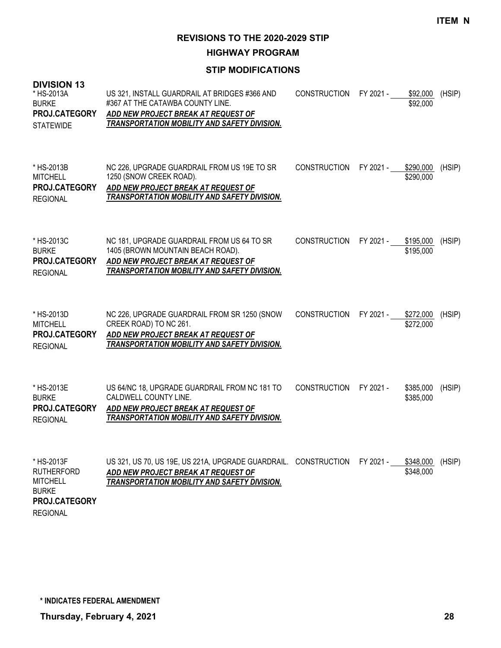**HIGHWAY PROGRAM**

### **STIP MODIFICATIONS**

| <b>DIVISION 13</b><br>* HS-2013A<br><b>BURKE</b><br>PROJ.CATEGORY<br><b>STATEWIDE</b> | US 321, INSTALL GUARDRAIL AT BRIDGES #366 AND<br>#367 AT THE CATAWBA COUNTY LINE.<br>ADD NEW PROJECT BREAK AT REQUEST OF<br>TRANSPORTATION MOBILITY AND SAFETY DIVISION.      | <b>CONSTRUCTION</b> | FY 2021 - | \$92,000<br>\$92,000   | (HSIP) |
|---------------------------------------------------------------------------------------|-------------------------------------------------------------------------------------------------------------------------------------------------------------------------------|---------------------|-----------|------------------------|--------|
| * HS-2013B<br><b>MITCHELL</b><br>PROJ.CATEGORY<br><b>REGIONAL</b>                     | NC 226, UPGRADE GUARDRAIL FROM US 19E TO SR<br>1250 (SNOW CREEK ROAD).<br>ADD NEW PROJECT BREAK AT REQUEST OF<br>TRANSPORTATION MOBILITY AND SAFETY DIVISION.                 | <b>CONSTRUCTION</b> | FY 2021 - | \$290,000<br>\$290,000 | (HSIP) |
| * HS-2013C<br><b>BURKE</b><br>PROJ.CATEGORY<br><b>REGIONAL</b>                        | NC 181, UPGRADE GUARDRAIL FROM US 64 TO SR<br>1405 (BROWN MOUNTAIN BEACH ROAD).<br>ADD NEW PROJECT BREAK AT REQUEST OF<br><b>TRANSPORTATION MOBILITY AND SAFETY DIVISION.</b> | <b>CONSTRUCTION</b> | FY 2021 - | \$195,000<br>\$195,000 | (HSIP) |
| * HS-2013D<br><b>MITCHELL</b><br>PROJ.CATEGORY<br><b>REGIONAL</b>                     | NC 226, UPGRADE GUARDRAIL FROM SR 1250 (SNOW<br>CREEK ROAD) TO NC 261.<br>ADD NEW PROJECT BREAK AT REQUEST OF<br>TRANSPORTATION MOBILITY AND SAFETY DIVISION.                 | <b>CONSTRUCTION</b> | FY 2021 - | \$272,000<br>\$272,000 | (HSIP) |
| * HS-2013E<br><b>BURKE</b><br>PROJ.CATEGORY<br><b>REGIONAL</b>                        | US 64/NC 18, UPGRADE GUARDRAIL FROM NC 181 TO<br>CALDWELL COUNTY LINE.<br>ADD NEW PROJECT BREAK AT REQUEST OF<br><b>TRANSPORTATION MOBILITY AND SAFETY DIVISION.</b>          | <b>CONSTRUCTION</b> | FY 2021 - | \$385,000<br>\$385,000 | (HSIP) |
| * HS-2013F<br><b>RUTHERFORD</b><br><b>MITCHELL</b><br><b>BURKE</b><br>PROJ.CATEGORY   | US 321, US 70, US 19E, US 221A, UPGRADE GUARDRAIL.<br>ADD NEW PROJECT BREAK AT REQUEST OF<br>TRANSPORTATION MOBILITY AND SAFETY DIVISION.                                     | <b>CONSTRUCTION</b> | FY 2021 - | \$348,000<br>\$348,000 | (HSIP) |

REGIONAL

**\* INDICATES FEDERAL AMENDMENT**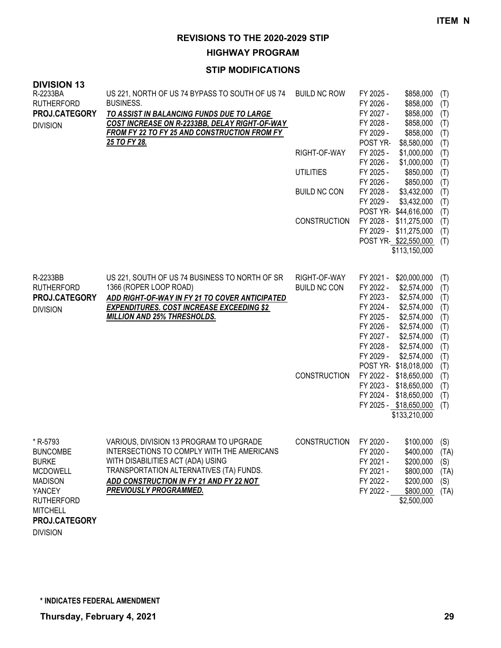**HIGHWAY PROGRAM**

# **STIP MODIFICATIONS**

| <b>DIVISION 13</b><br>R-2233BA<br><b>RUTHERFORD</b><br>PROJ.CATEGORY<br><b>DIVISION</b>                                                                    | US 221, NORTH OF US 74 BYPASS TO SOUTH OF US 74<br><b>BUSINESS.</b><br>TO ASSIST IN BALANCING FUNDS DUE TO LARGE<br>COST INCREASE ON R-2233BB, DELAY RIGHT-OF-WAY<br>FROM FY 22 TO FY 25 AND CONSTRUCTION FROM FY<br>25 TO FY 28.                 | <b>BUILD NC ROW</b><br>RIGHT-OF-WAY<br><b>UTILITIES</b><br><b>BUILD NC CON</b><br><b>CONSTRUCTION</b> | FY 2025 -<br>FY 2026 -<br>FY 2027 -<br>FY 2028 -<br>FY 2029 -<br>POST YR-<br>FY 2025 -<br>FY 2026 -<br>FY 2025 -<br>FY 2026 -<br>FY 2028 -<br>FY 2029 -<br>POST YR \$44,616,000<br>FY 2028 - \$11,275,000<br>FY 2029 - \$11,275,000<br>POST YR \$22,550,000    | \$858,000<br>\$858,000<br>\$858,000<br>\$858,000<br>\$858,000<br>\$8,580,000<br>\$1,000,000<br>\$1,000,000<br>\$850,000<br>\$850,000<br>\$3,432,000<br>\$3,432,000<br>\$113,150,000 | (T)<br>(T)<br>(T)<br>(T)<br>(T)<br>(T)<br>(T)<br>(T)<br>(T)<br>(T)<br>(T)<br>(T)<br>(T)<br>(T)<br>(T)<br>(T) |
|------------------------------------------------------------------------------------------------------------------------------------------------------------|---------------------------------------------------------------------------------------------------------------------------------------------------------------------------------------------------------------------------------------------------|-------------------------------------------------------------------------------------------------------|----------------------------------------------------------------------------------------------------------------------------------------------------------------------------------------------------------------------------------------------------------------|-------------------------------------------------------------------------------------------------------------------------------------------------------------------------------------|--------------------------------------------------------------------------------------------------------------|
| R-2233BB<br><b>RUTHERFORD</b><br>PROJ.CATEGORY<br><b>DIVISION</b>                                                                                          | US 221, SOUTH OF US 74 BUSINESS TO NORTH OF SR<br>1366 (ROPER LOOP ROAD)<br>ADD RIGHT-OF-WAY IN FY 21 TO COVER ANTICIPATED<br><b>EXPENDITURES. COST INCREASE EXCEEDING \$2</b><br><b>MILLION AND 25% THRESHOLDS.</b>                              | RIGHT-OF-WAY<br><b>BUILD NC CON</b><br><b>CONSTRUCTION</b>                                            | FY 2021 - \$20,000,000<br>FY 2022 -<br>FY 2023 -<br>FY 2024 -<br>FY 2025 -<br>FY 2026 -<br>FY 2027 -<br>FY 2028 -<br>FY 2029 -<br>POST YR-\$18,018,000<br>FY 2022 - \$18,650,000<br>FY 2023 - \$18,650,000<br>FY 2024 - \$18,650,000<br>FY 2025 - \$18,650,000 | \$2,574,000<br>\$2,574,000<br>\$2,574,000<br>\$2,574,000<br>\$2,574,000<br>\$2,574,000<br>\$2,574,000<br>\$2,574,000<br>\$133,210,000                                               | (T)<br>(T)<br>(T)<br>(T)<br>(T)<br>(T)<br>(T)<br>(T)<br>(T)<br>(T)<br>(T)<br>(T)<br>(T)<br>(T)               |
| * R-5793<br><b>BUNCOMBE</b><br><b>BURKE</b><br><b>MCDOWELL</b><br><b>MADISON</b><br><b>YANCEY</b><br><b>RUTHERFORD</b><br><b>MITCHELL</b><br>PROJ.CATEGORY | VARIOUS, DIVISION 13 PROGRAM TO UPGRADE<br>INTERSECTIONS TO COMPLY WITH THE AMERICANS<br>WITH DISABILITIES ACT (ADA) USING<br>TRANSPORTATION ALTERNATIVES (TA) FUNDS.<br>ADD CONSTRUCTION IN FY 21 AND FY 22 NOT<br><b>PREVIOUSLY PROGRAMMED.</b> | <b>CONSTRUCTION</b>                                                                                   | FY 2020 -<br>FY 2020 -<br>FY 2021 -<br>FY 2021 -<br>FY 2022 -<br>FY 2022 -                                                                                                                                                                                     | \$100,000<br>\$400,000<br>\$200,000<br>\$800,000<br>\$200,000<br>\$800,000<br>\$2,500,000                                                                                           | (S)<br>(TA)<br>(S)<br>(TA)<br>(S)<br>(TA)                                                                    |

DIVISION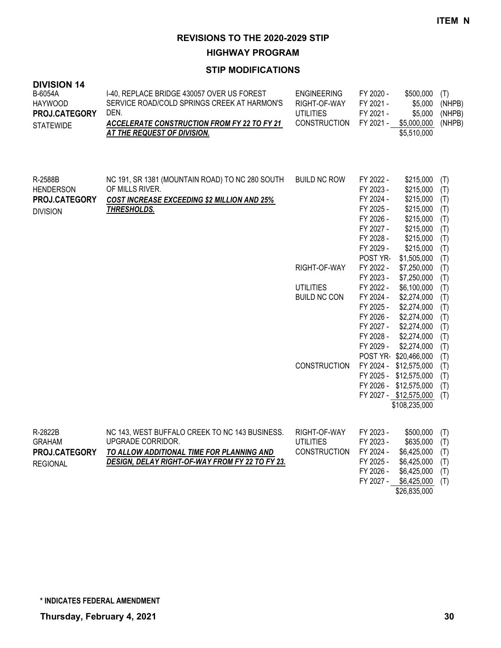**HIGHWAY PROGRAM**

| <b>DIVISION 14</b><br>B-6054A<br><b>HAYWOOD</b><br>PROJ.CATEGORY<br><b>STATEWIDE</b> | I-40, REPLACE BRIDGE 430057 OVER US FOREST<br>SERVICE ROAD/COLD SPRINGS CREEK AT HARMON'S<br>DEN.<br>ACCELERATE CONSTRUCTION FROM FY 22 TO FY 21<br>AT THE REQUEST OF DIVISION. | <b>ENGINEERING</b><br>RIGHT-OF-WAY<br><b>UTILITIES</b><br><b>CONSTRUCTION</b> | FY 2020 -<br>FY 2021 -<br>FY 2021 -<br>FY 2021 -                                                                 | \$500,000<br>\$5,000<br>\$5,000<br>\$5,000,000<br>\$5,510,000                                                                                 | (T)<br>(NHPB)<br>(NHPB)<br>(NHPB)                           |
|--------------------------------------------------------------------------------------|---------------------------------------------------------------------------------------------------------------------------------------------------------------------------------|-------------------------------------------------------------------------------|------------------------------------------------------------------------------------------------------------------|-----------------------------------------------------------------------------------------------------------------------------------------------|-------------------------------------------------------------|
| R-2588B<br><b>HENDERSON</b><br>PROJ.CATEGORY<br><b>DIVISION</b>                      | NC 191, SR 1381 (MOUNTAIN ROAD) TO NC 280 SOUTH<br>OF MILLS RIVER.<br>COST INCREASE EXCEEDING \$2 MILLION AND 25%<br><b>THRESHOLDS.</b>                                         | <b>BUILD NC ROW</b>                                                           | FY 2022 -<br>FY 2023 -<br>FY 2024 -<br>FY 2025 -<br>FY 2026 -<br>FY 2027 -<br>FY 2028 -<br>FY 2029 -<br>POST YR- | \$215,000<br>\$215,000<br>\$215,000<br>\$215,000<br>\$215,000<br>\$215,000<br>\$215,000<br>\$215,000<br>\$1,505,000                           | (T)<br>(T)<br>(T)<br>(T)<br>(T)<br>(T)<br>(T)<br>(T)<br>(T) |
|                                                                                      |                                                                                                                                                                                 | RIGHT-OF-WAY                                                                  | FY 2022 -                                                                                                        | \$7,250,000                                                                                                                                   | (T)                                                         |
|                                                                                      |                                                                                                                                                                                 | <b>UTILITIES</b><br><b>BUILD NC CON</b>                                       | FY 2023 -<br>FY 2022 -<br>FY 2024 -<br>FY 2025 -<br>FY 2026 -<br>FY 2027 -<br>FY 2028 -<br>FY 2029 -             | \$7,250,000<br>\$6,100,000<br>\$2,274,000<br>\$2,274,000<br>\$2,274,000<br>\$2,274,000<br>\$2,274,000<br>\$2,274,000                          | (T)<br>(T)<br>(T)<br>(T)<br>(T)<br>(T)<br>(T)<br>(T)        |
|                                                                                      |                                                                                                                                                                                 | <b>CONSTRUCTION</b>                                                           |                                                                                                                  | POST YR-\$20,466,000<br>FY 2024 - \$12,575,000<br>FY 2025 - \$12,575,000<br>FY 2026 - \$12,575,000<br>FY 2027 - \$12,575,000<br>\$108,235,000 | (T)<br>(T)<br>(T)<br>(T)<br>(T)                             |
| R-2822B<br><b>GRAHAM</b><br>PROJ.CATEGORY<br><b>REGIONAL</b>                         | NC 143, WEST BUFFALO CREEK TO NC 143 BUSINESS.<br>UPGRADE CORRIDOR.<br>TO ALLOW ADDITIONAL TIME FOR PLANNING AND<br>DESIGN, DELAY RIGHT-OF-WAY FROM FY 22 TO FY 23.             | RIGHT-OF-WAY<br><b>UTILITIES</b><br><b>CONSTRUCTION</b>                       | FY 2023 -<br>FY 2023 -<br>FY 2024 -<br>FY 2025 -<br>FY 2026 -<br>FY 2027 -                                       | \$500,000<br>\$635,000<br>\$6,425,000<br>\$6,425,000<br>\$6,425,000<br>\$6,425,000<br>\$26,835,000                                            | (T)<br>(T)<br>(T)<br>(T)<br>(T)<br>(T)                      |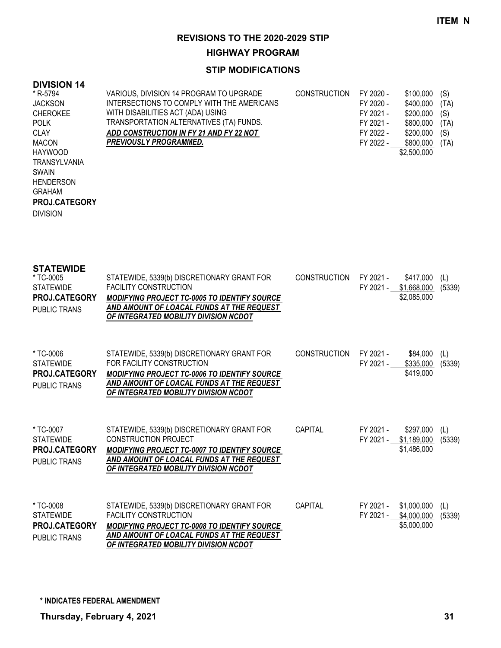**HIGHWAY PROGRAM**

# **STIP MODIFICATIONS**

# **DIVISION 14**

| * R-5794             | VARIOUS, DIVISION 14 PROGRAM TO UPGRADE    | <b>CONSTRUCTION</b> | FY 2020 - | \$100,000   | (S)  |
|----------------------|--------------------------------------------|---------------------|-----------|-------------|------|
| <b>JACKSON</b>       | INTERSECTIONS TO COMPLY WITH THE AMERICANS |                     | FY 2020 - | \$400,000   | (TA) |
| <b>CHEROKEE</b>      | WITH DISABILITIES ACT (ADA) USING          |                     | FY 2021 - | \$200,000   | (S)  |
| <b>POLK</b>          | TRANSPORTATION ALTERNATIVES (TA) FUNDS.    |                     | FY 2021 - | \$800,000   | (TA) |
| <b>CLAY</b>          | ADD CONSTRUCTION IN FY 21 AND FY 22 NOT    |                     | FY 2022 - | \$200,000   | (S)  |
| <b>MACON</b>         | <b>PREVIOUSLY PROGRAMMED.</b>              |                     | FY 2022 - | \$800,000   | (TA) |
| <b>HAYWOOD</b>       |                                            |                     |           | \$2,500,000 |      |
| TRANSYLVANIA         |                                            |                     |           |             |      |
| <b>SWAIN</b>         |                                            |                     |           |             |      |
| <b>HENDERSON</b>     |                                            |                     |           |             |      |
| <b>GRAHAM</b>        |                                            |                     |           |             |      |
| <b>PROJ.CATEGORY</b> |                                            |                     |           |             |      |
| <b>DIVISION</b>      |                                            |                     |           |             |      |
|                      |                                            |                     |           |             |      |

| <b>STATEWIDE</b><br>* TC-0005<br><b>STATEWIDE</b><br>PROJ.CATEGORY<br><b>PUBLIC TRANS</b> | STATEWIDE, 5339(b) DISCRETIONARY GRANT FOR<br><b>FACILITY CONSTRUCTION</b><br>MODIFYING PROJECT TC-0005 TO IDENTIFY SOURCE<br>AND AMOUNT OF LOACAL FUNDS AT THE REQUEST<br>OF INTEGRATED MOBILITY DIVISION NCDOT        | CONSTRUCTION | FY 2021 -<br>FY 2021 - | \$417,000<br>\$1,668,000<br>\$2,085,000           | (L)<br>(5339) |
|-------------------------------------------------------------------------------------------|-------------------------------------------------------------------------------------------------------------------------------------------------------------------------------------------------------------------------|--------------|------------------------|---------------------------------------------------|---------------|
| * TC-0006<br><b>STATEWIDE</b><br><b>PROJ.CATEGORY</b><br><b>PUBLIC TRANS</b>              | STATEWIDE, 5339(b) DISCRETIONARY GRANT FOR<br>FOR FACILITY CONSTRUCTION<br><b>MODIFYING PROJECT TC-0006 TO IDENTIFY SOURCE</b><br>AND AMOUNT OF LOACAL FUNDS AT THE REQUEST<br>OF INTEGRATED MOBILITY DIVISION NCDOT    | CONSTRUCTION | FY 2021 -<br>FY 2021 - | \$84,000<br>\$335,000<br>\$419,000                | (L)<br>(5339) |
| * TC-0007<br><b>STATEWIDE</b><br><b>PROJ.CATEGORY</b><br><b>PUBLIC TRANS</b>              | STATEWIDE, 5339(b) DISCRETIONARY GRANT FOR<br><b>CONSTRUCTION PROJECT</b><br>MODIFYING PROJECT TC-0007 TO IDENTIFY SOURCE<br>AND AMOUNT OF LOACAL FUNDS AT THE REQUEST<br>OF INTEGRATED MOBILITY DIVISION NCDOT         | CAPITAL      | FY 2021 -              | \$297,000<br>FY 2021 - \$1,189,000<br>\$1,486,000 | (L)<br>(5339) |
| * TC-0008<br><b>STATEWIDE</b><br>PROJ.CATEGORY<br>PUBLIC TRANS                            | STATEWIDE, 5339(b) DISCRETIONARY GRANT FOR<br><b>FACILITY CONSTRUCTION</b><br><b>MODIFYING PROJECT TC-0008 TO IDENTIFY SOURCE</b><br>AND AMOUNT OF LOACAL FUNDS AT THE REQUEST<br>OF INTEGRATED MOBILITY DIVISION NCDOT | CAPITAL      | FY 2021 -<br>FY 2021 - | \$1,000,000<br>\$4,000,000<br>\$5,000,000         | (L)<br>(5339) |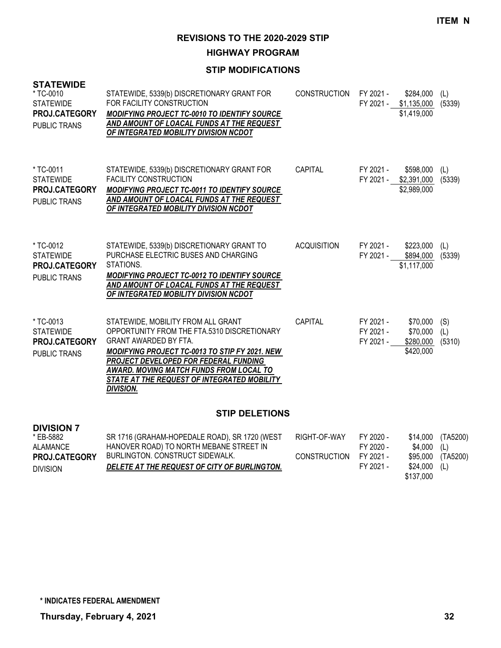**HIGHWAY PROGRAM**

## **STIP MODIFICATIONS**

| <b>STATEWIDE</b><br>* TC-0010<br><b>STATEWIDE</b><br>PROJ.CATEGORY<br><b>PUBLIC TRANS</b> | STATEWIDE, 5339(b) DISCRETIONARY GRANT FOR<br>FOR FACILITY CONSTRUCTION<br><b>MODIFYING PROJECT TC-0010 TO IDENTIFY SOURCE</b><br>AND AMOUNT OF LOACAL FUNDS AT THE REQUEST<br>OF INTEGRATED MOBILITY DIVISION NCDOT                                                                                                              | <b>CONSTRUCTION</b>                 | FY 2021 -<br>FY 2021 -                           | \$284,000<br>\$1,135,000<br>\$1,419,000           | (L)<br>(5339)                      |
|-------------------------------------------------------------------------------------------|-----------------------------------------------------------------------------------------------------------------------------------------------------------------------------------------------------------------------------------------------------------------------------------------------------------------------------------|-------------------------------------|--------------------------------------------------|---------------------------------------------------|------------------------------------|
| * TC-0011<br><b>STATEWIDE</b><br>PROJ.CATEGORY<br><b>PUBLIC TRANS</b>                     | STATEWIDE, 5339(b) DISCRETIONARY GRANT FOR<br><b>FACILITY CONSTRUCTION</b><br>MODIFYING PROJECT TC-0011 TO IDENTIFY SOURCE<br>AND AMOUNT OF LOACAL FUNDS AT THE REQUEST<br>OF INTEGRATED MOBILITY DIVISION NCDOT                                                                                                                  | CAPITAL                             | FY 2021 -                                        | \$598,000<br>FY 2021 - \$2,391,000<br>\$2,989,000 | (L)<br>(5339)                      |
| * TC-0012<br><b>STATEWIDE</b><br>PROJ.CATEGORY<br><b>PUBLIC TRANS</b>                     | STATEWIDE, 5339(b) DISCRETIONARY GRANT TO<br>PURCHASE ELECTRIC BUSES AND CHARGING<br>STATIONS.<br><b>MODIFYING PROJECT TC-0012 TO IDENTIFY SOURCE</b><br>AND AMOUNT OF LOACAL FUNDS AT THE REQUEST<br>OF INTEGRATED MOBILITY DIVISION NCDOT                                                                                       | <b>ACQUISITION</b>                  | FY 2021 -<br>FY 2021 -                           | \$223,000<br>\$894,000<br>\$1,117,000             | (L)<br>(5339)                      |
| * TC-0013<br><b>STATEWIDE</b><br>PROJ.CATEGORY<br><b>PUBLIC TRANS</b>                     | STATEWIDE, MOBILITY FROM ALL GRANT<br>OPPORTUNITY FROM THE FTA.5310 DISCRETIONARY<br><b>GRANT AWARDED BY FTA.</b><br><b>MODIFYING PROJECT TC-0013 TO STIP FY 2021. NEW</b><br>PROJECT DEVELOPED FOR FEDERAL FUNDING<br>AWARD. MOVING MATCH FUNDS FROM LOCAL TO<br>STATE AT THE REQUEST OF INTEGRATED MOBILITY<br><b>DIVISION.</b> | <b>CAPITAL</b>                      | FY 2021 -<br>FY 2021 -<br>FY 2021 -              | \$70,000<br>\$70,000<br>\$280,000<br>\$420,000    | (S)<br>(L)<br>(5310)               |
| <b>STIP DELETIONS</b>                                                                     |                                                                                                                                                                                                                                                                                                                                   |                                     |                                                  |                                                   |                                    |
| <b>DIVISION 7</b><br>* EB-5882<br><b>ALAMANCE</b><br>PROJ.CATEGORY<br><b>DIVISION</b>     | SR 1716 (GRAHAM-HOPEDALE ROAD), SR 1720 (WEST<br>HANOVER ROAD) TO NORTH MEBANE STREET IN<br><b>BURLINGTON, CONSTRUCT SIDEWALK,</b><br>DELETE AT THE REQUEST OF CITY OF BURLINGTON.                                                                                                                                                | RIGHT-OF-WAY<br><b>CONSTRUCTION</b> | FY 2020 -<br>FY 2020 -<br>FY 2021 -<br>FY 2021 - | \$14,000<br>\$4,000<br>\$95,000<br>\$24,000       | (TA5200)<br>(L)<br>(TA5200)<br>(L) |

\$137,000